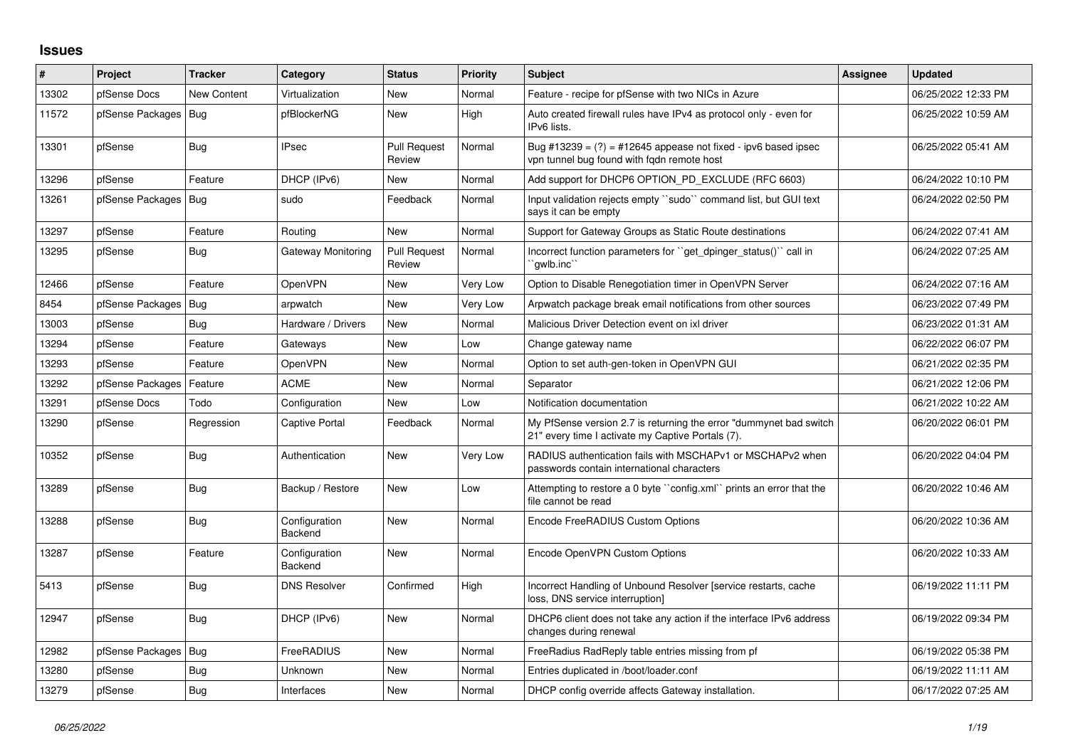## **Issues**

| #     | Project          | <b>Tracker</b> | Category                 | <b>Status</b>                 | <b>Priority</b> | <b>Subject</b>                                                                                                          | Assignee | <b>Updated</b>      |
|-------|------------------|----------------|--------------------------|-------------------------------|-----------------|-------------------------------------------------------------------------------------------------------------------------|----------|---------------------|
| 13302 | pfSense Docs     | New Content    | Virtualization           | <b>New</b>                    | Normal          | Feature - recipe for pfSense with two NICs in Azure                                                                     |          | 06/25/2022 12:33 PM |
| 11572 | pfSense Packages | Bug            | pfBlockerNG              | <b>New</b>                    | High            | Auto created firewall rules have IPv4 as protocol only - even for<br>IPv6 lists.                                        |          | 06/25/2022 10:59 AM |
| 13301 | pfSense          | <b>Bug</b>     | <b>IPsec</b>             | <b>Pull Request</b><br>Review | Normal          | Bug #13239 = $(?)$ = #12645 appease not fixed - ipv6 based ipsec<br>vpn tunnel bug found with fgdn remote host          |          | 06/25/2022 05:41 AM |
| 13296 | pfSense          | Feature        | DHCP (IPv6)              | <b>New</b>                    | Normal          | Add support for DHCP6 OPTION PD EXCLUDE (RFC 6603)                                                                      |          | 06/24/2022 10:10 PM |
| 13261 | pfSense Packages | Bug            | sudo                     | Feedback                      | Normal          | Input validation rejects empty "sudo" command list, but GUI text<br>says it can be empty                                |          | 06/24/2022 02:50 PM |
| 13297 | pfSense          | Feature        | Routing                  | <b>New</b>                    | Normal          | Support for Gateway Groups as Static Route destinations                                                                 |          | 06/24/2022 07:41 AM |
| 13295 | pfSense          | Bug            | Gateway Monitoring       | <b>Pull Request</b><br>Review | Normal          | Incorrect function parameters for "get dpinger status()" call in<br>`qwlb.inc``                                         |          | 06/24/2022 07:25 AM |
| 12466 | pfSense          | Feature        | OpenVPN                  | New                           | Very Low        | Option to Disable Renegotiation timer in OpenVPN Server                                                                 |          | 06/24/2022 07:16 AM |
| 8454  | pfSense Packages | <b>Bug</b>     | arpwatch                 | <b>New</b>                    | Very Low        | Arpwatch package break email notifications from other sources                                                           |          | 06/23/2022 07:49 PM |
| 13003 | pfSense          | Bug            | Hardware / Drivers       | <b>New</b>                    | Normal          | Malicious Driver Detection event on ixl driver                                                                          |          | 06/23/2022 01:31 AM |
| 13294 | pfSense          | Feature        | Gateways                 | <b>New</b>                    | Low             | Change gateway name                                                                                                     |          | 06/22/2022 06:07 PM |
| 13293 | pfSense          | Feature        | <b>OpenVPN</b>           | <b>New</b>                    | Normal          | Option to set auth-gen-token in OpenVPN GUI                                                                             |          | 06/21/2022 02:35 PM |
| 13292 | pfSense Packages | Feature        | <b>ACME</b>              | <b>New</b>                    | Normal          | Separator                                                                                                               |          | 06/21/2022 12:06 PM |
| 13291 | pfSense Docs     | Todo           | Configuration            | <b>New</b>                    | Low             | Notification documentation                                                                                              |          | 06/21/2022 10:22 AM |
| 13290 | pfSense          | Regression     | Captive Portal           | Feedback                      | Normal          | My PfSense version 2.7 is returning the error "dummynet bad switch<br>21" every time I activate my Captive Portals (7). |          | 06/20/2022 06:01 PM |
| 10352 | pfSense          | Bug            | Authentication           | <b>New</b>                    | Very Low        | RADIUS authentication fails with MSCHAPv1 or MSCHAPv2 when<br>passwords contain international characters                |          | 06/20/2022 04:04 PM |
| 13289 | pfSense          | Bug            | Backup / Restore         | New                           | Low             | Attempting to restore a 0 byte "config.xml" prints an error that the<br>file cannot be read                             |          | 06/20/2022 10:46 AM |
| 13288 | pfSense          | Bug            | Configuration<br>Backend | <b>New</b>                    | Normal          | Encode FreeRADIUS Custom Options                                                                                        |          | 06/20/2022 10:36 AM |
| 13287 | pfSense          | Feature        | Configuration<br>Backend | New                           | Normal          | Encode OpenVPN Custom Options                                                                                           |          | 06/20/2022 10:33 AM |
| 5413  | pfSense          | <b>Bug</b>     | <b>DNS Resolver</b>      | Confirmed                     | High            | Incorrect Handling of Unbound Resolver [service restarts, cache<br>loss, DNS service interruption]                      |          | 06/19/2022 11:11 PM |
| 12947 | pfSense          | <b>Bug</b>     | DHCP (IPv6)              | <b>New</b>                    | Normal          | DHCP6 client does not take any action if the interface IPv6 address<br>changes during renewal                           |          | 06/19/2022 09:34 PM |
| 12982 | pfSense Packages | Bug            | FreeRADIUS               | <b>New</b>                    | Normal          | FreeRadius RadReply table entries missing from pf                                                                       |          | 06/19/2022 05:38 PM |
| 13280 | pfSense          | <b>Bug</b>     | Unknown                  | <b>New</b>                    | Normal          | Entries duplicated in /boot/loader.conf                                                                                 |          | 06/19/2022 11:11 AM |
| 13279 | pfSense          | Bug            | Interfaces               | <b>New</b>                    | Normal          | DHCP config override affects Gateway installation.                                                                      |          | 06/17/2022 07:25 AM |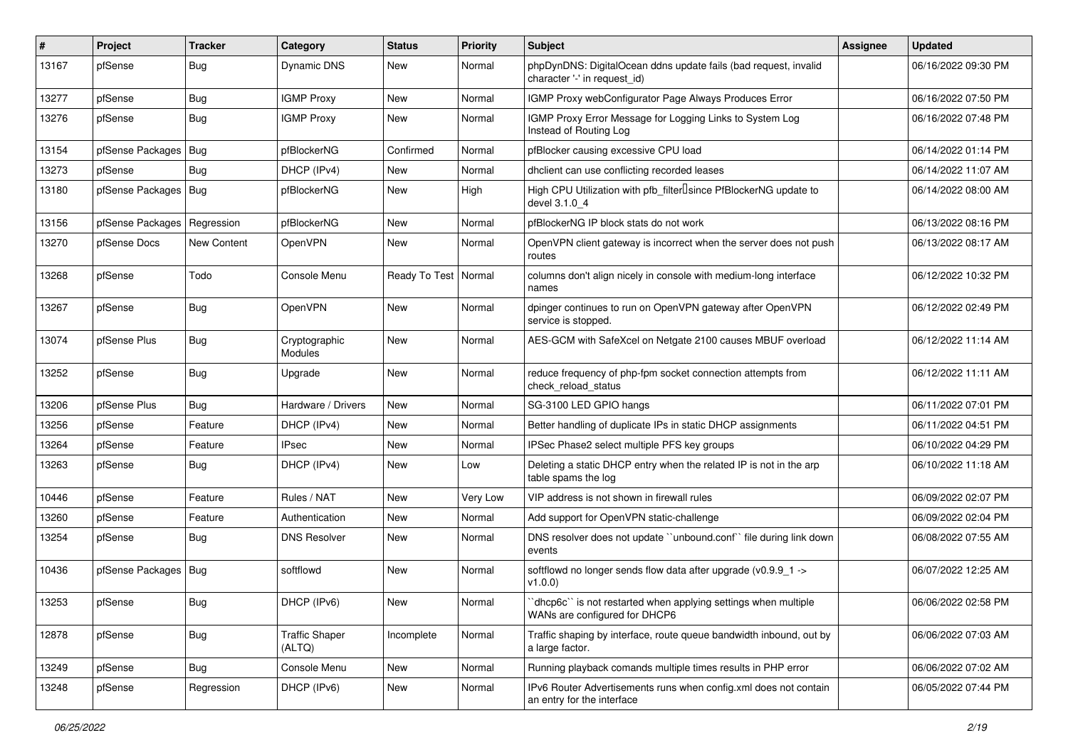| ∦     | Project                       | <b>Tracker</b> | Category                        | <b>Status</b>          | Priority | Subject                                                                                         | <b>Assignee</b> | <b>Updated</b>      |
|-------|-------------------------------|----------------|---------------------------------|------------------------|----------|-------------------------------------------------------------------------------------------------|-----------------|---------------------|
| 13167 | pfSense                       | <b>Bug</b>     | Dynamic DNS                     | New                    | Normal   | phpDynDNS: DigitalOcean ddns update fails (bad request, invalid<br>character '-' in request id) |                 | 06/16/2022 09:30 PM |
| 13277 | pfSense                       | Bug            | <b>IGMP Proxy</b>               | New                    | Normal   | IGMP Proxy webConfigurator Page Always Produces Error                                           |                 | 06/16/2022 07:50 PM |
| 13276 | pfSense                       | <b>Bug</b>     | <b>IGMP Proxy</b>               | New                    | Normal   | IGMP Proxy Error Message for Logging Links to System Log<br>Instead of Routing Log              |                 | 06/16/2022 07:48 PM |
| 13154 | pfSense Packages   Bug        |                | pfBlockerNG                     | Confirmed              | Normal   | pfBlocker causing excessive CPU load                                                            |                 | 06/14/2022 01:14 PM |
| 13273 | pfSense                       | <b>Bug</b>     | DHCP (IPv4)                     | New                    | Normal   | dhclient can use conflicting recorded leases                                                    |                 | 06/14/2022 11:07 AM |
| 13180 | pfSense Packages   Bug        |                | pfBlockerNG                     | New                    | High     | High CPU Utilization with pfb filter Isince PfBlockerNG update to<br>devel 3.1.0 4              |                 | 06/14/2022 08:00 AM |
| 13156 | pfSense Packages   Regression |                | pfBlockerNG                     | New                    | Normal   | pfBlockerNG IP block stats do not work                                                          |                 | 06/13/2022 08:16 PM |
| 13270 | pfSense Docs                  | New Content    | OpenVPN                         | New                    | Normal   | OpenVPN client gateway is incorrect when the server does not push<br>routes                     |                 | 06/13/2022 08:17 AM |
| 13268 | pfSense                       | Todo           | Console Menu                    | Ready To Test   Normal |          | columns don't align nicely in console with medium-long interface<br>names                       |                 | 06/12/2022 10:32 PM |
| 13267 | pfSense                       | <b>Bug</b>     | OpenVPN                         | <b>New</b>             | Normal   | dpinger continues to run on OpenVPN gateway after OpenVPN<br>service is stopped.                |                 | 06/12/2022 02:49 PM |
| 13074 | pfSense Plus                  | <b>Bug</b>     | Cryptographic<br>Modules        | <b>New</b>             | Normal   | AES-GCM with SafeXcel on Netgate 2100 causes MBUF overload                                      |                 | 06/12/2022 11:14 AM |
| 13252 | pfSense                       | <b>Bug</b>     | Upgrade                         | <b>New</b>             | Normal   | reduce frequency of php-fpm socket connection attempts from<br>check reload status              |                 | 06/12/2022 11:11 AM |
| 13206 | pfSense Plus                  | Bug            | Hardware / Drivers              | New                    | Normal   | SG-3100 LED GPIO hangs                                                                          |                 | 06/11/2022 07:01 PM |
| 13256 | pfSense                       | Feature        | DHCP (IPv4)                     | <b>New</b>             | Normal   | Better handling of duplicate IPs in static DHCP assignments                                     |                 | 06/11/2022 04:51 PM |
| 13264 | pfSense                       | Feature        | IPsec                           | <b>New</b>             | Normal   | IPSec Phase2 select multiple PFS key groups                                                     |                 | 06/10/2022 04:29 PM |
| 13263 | pfSense                       | <b>Bug</b>     | DHCP (IPv4)                     | New                    | Low      | Deleting a static DHCP entry when the related IP is not in the arp<br>table spams the log       |                 | 06/10/2022 11:18 AM |
| 10446 | pfSense                       | Feature        | Rules / NAT                     | <b>New</b>             | Very Low | VIP address is not shown in firewall rules                                                      |                 | 06/09/2022 02:07 PM |
| 13260 | pfSense                       | Feature        | Authentication                  | New                    | Normal   | Add support for OpenVPN static-challenge                                                        |                 | 06/09/2022 02:04 PM |
| 13254 | pfSense                       | <b>Bug</b>     | <b>DNS Resolver</b>             | New                    | Normal   | DNS resolver does not update "unbound.conf" file during link down<br>events                     |                 | 06/08/2022 07:55 AM |
| 10436 | pfSense Packages   Bug        |                | softflowd                       | <b>New</b>             | Normal   | softflowd no longer sends flow data after upgrade (v0.9.9_1 -><br>v1.0.0)                       |                 | 06/07/2022 12:25 AM |
| 13253 | pfSense                       | <b>Bug</b>     | DHCP (IPv6)                     | New                    | Normal   | "dhcp6c" is not restarted when applying settings when multiple<br>WANs are configured for DHCP6 |                 | 06/06/2022 02:58 PM |
| 12878 | pfSense                       | Bug            | <b>Traffic Shaper</b><br>(ALTQ) | Incomplete             | Normal   | Traffic shaping by interface, route queue bandwidth inbound, out by<br>a large factor.          |                 | 06/06/2022 07:03 AM |
| 13249 | pfSense                       | Bug            | Console Menu                    | New                    | Normal   | Running playback comands multiple times results in PHP error                                    |                 | 06/06/2022 07:02 AM |
| 13248 | pfSense                       | Regression     | DHCP (IPv6)                     | New                    | Normal   | IPv6 Router Advertisements runs when config.xml does not contain<br>an entry for the interface  |                 | 06/05/2022 07:44 PM |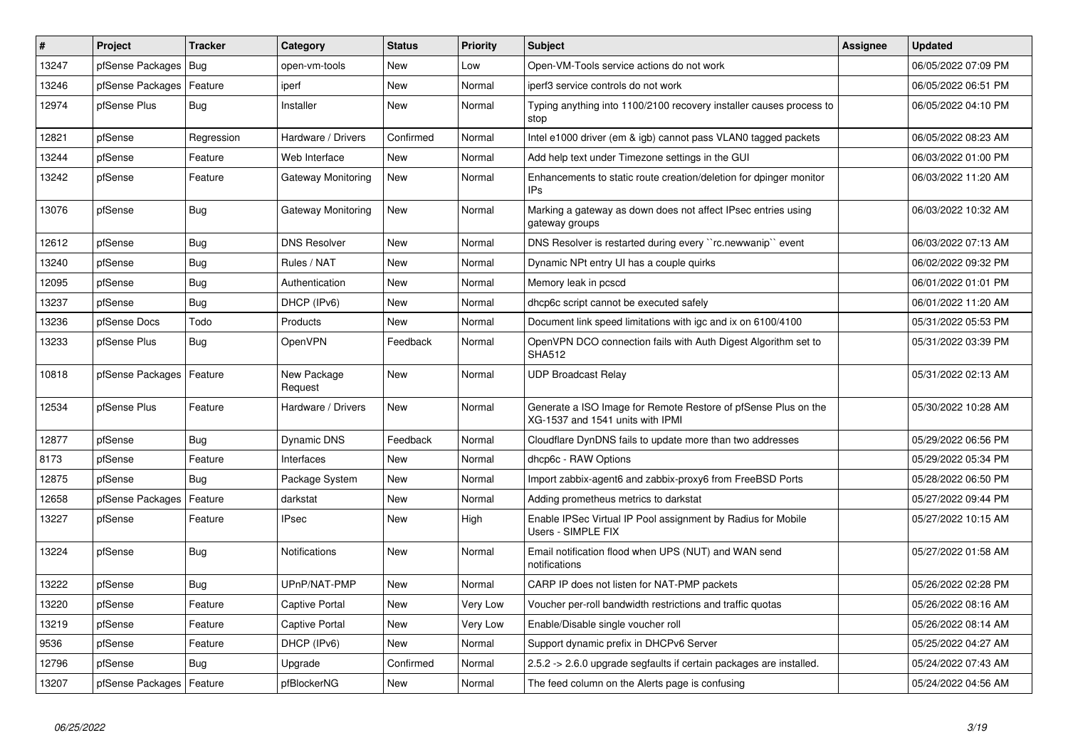| #     | Project                    | <b>Tracker</b> | Category                  | <b>Status</b> | <b>Priority</b> | <b>Subject</b>                                                                                     | <b>Assignee</b> | <b>Updated</b>      |
|-------|----------------------------|----------------|---------------------------|---------------|-----------------|----------------------------------------------------------------------------------------------------|-----------------|---------------------|
| 13247 | pfSense Packages           | Bug            | open-vm-tools             | New           | Low             | Open-VM-Tools service actions do not work                                                          |                 | 06/05/2022 07:09 PM |
| 13246 | pfSense Packages           | Feature        | iperf                     | New           | Normal          | iperf3 service controls do not work                                                                |                 | 06/05/2022 06:51 PM |
| 12974 | pfSense Plus               | Bug            | Installer                 | <b>New</b>    | Normal          | Typing anything into 1100/2100 recovery installer causes process to<br>stop                        |                 | 06/05/2022 04:10 PM |
| 12821 | pfSense                    | Regression     | Hardware / Drivers        | Confirmed     | Normal          | Intel e1000 driver (em & igb) cannot pass VLAN0 tagged packets                                     |                 | 06/05/2022 08:23 AM |
| 13244 | pfSense                    | Feature        | Web Interface             | <b>New</b>    | Normal          | Add help text under Timezone settings in the GUI                                                   |                 | 06/03/2022 01:00 PM |
| 13242 | pfSense                    | Feature        | <b>Gateway Monitoring</b> | New           | Normal          | Enhancements to static route creation/deletion for dpinger monitor<br>IPs                          |                 | 06/03/2022 11:20 AM |
| 13076 | pfSense                    | Bug            | <b>Gateway Monitoring</b> | New           | Normal          | Marking a gateway as down does not affect IPsec entries using<br>gateway groups                    |                 | 06/03/2022 10:32 AM |
| 12612 | pfSense                    | <b>Bug</b>     | <b>DNS Resolver</b>       | New           | Normal          | DNS Resolver is restarted during every "rc.newwanip" event                                         |                 | 06/03/2022 07:13 AM |
| 13240 | pfSense                    | <b>Bug</b>     | Rules / NAT               | <b>New</b>    | Normal          | Dynamic NPt entry UI has a couple quirks                                                           |                 | 06/02/2022 09:32 PM |
| 12095 | pfSense                    | Bug            | Authentication            | <b>New</b>    | Normal          | Memory leak in pcscd                                                                               |                 | 06/01/2022 01:01 PM |
| 13237 | pfSense                    | Bug            | DHCP (IPv6)               | New           | Normal          | dhcp6c script cannot be executed safely                                                            |                 | 06/01/2022 11:20 AM |
| 13236 | pfSense Docs               | Todo           | Products                  | <b>New</b>    | Normal          | Document link speed limitations with igc and ix on 6100/4100                                       |                 | 05/31/2022 05:53 PM |
| 13233 | pfSense Plus               | Bug            | OpenVPN                   | Feedback      | Normal          | OpenVPN DCO connection fails with Auth Digest Algorithm set to<br><b>SHA512</b>                    |                 | 05/31/2022 03:39 PM |
| 10818 | pfSense Packages   Feature |                | New Package<br>Request    | <b>New</b>    | Normal          | <b>UDP Broadcast Relay</b>                                                                         |                 | 05/31/2022 02:13 AM |
| 12534 | pfSense Plus               | Feature        | Hardware / Drivers        | New           | Normal          | Generate a ISO Image for Remote Restore of pfSense Plus on the<br>XG-1537 and 1541 units with IPMI |                 | 05/30/2022 10:28 AM |
| 12877 | pfSense                    | Bug            | Dynamic DNS               | Feedback      | Normal          | Cloudflare DynDNS fails to update more than two addresses                                          |                 | 05/29/2022 06:56 PM |
| 8173  | pfSense                    | Feature        | Interfaces                | <b>New</b>    | Normal          | dhcp6c - RAW Options                                                                               |                 | 05/29/2022 05:34 PM |
| 12875 | pfSense                    | <b>Bug</b>     | Package System            | New           | Normal          | Import zabbix-agent6 and zabbix-proxy6 from FreeBSD Ports                                          |                 | 05/28/2022 06:50 PM |
| 12658 | pfSense Packages           | Feature        | darkstat                  | New           | Normal          | Adding prometheus metrics to darkstat                                                              |                 | 05/27/2022 09:44 PM |
| 13227 | pfSense                    | Feature        | <b>IPsec</b>              | New           | High            | Enable IPSec Virtual IP Pool assignment by Radius for Mobile<br>Users - SIMPLE FIX                 |                 | 05/27/2022 10:15 AM |
| 13224 | pfSense                    | Bug            | <b>Notifications</b>      | <b>New</b>    | Normal          | Email notification flood when UPS (NUT) and WAN send<br>notifications                              |                 | 05/27/2022 01:58 AM |
| 13222 | pfSense                    | Bug            | UPnP/NAT-PMP              | <b>New</b>    | Normal          | CARP IP does not listen for NAT-PMP packets                                                        |                 | 05/26/2022 02:28 PM |
| 13220 | pfSense                    | Feature        | Captive Portal            | New           | Very Low        | Voucher per-roll bandwidth restrictions and traffic quotas                                         |                 | 05/26/2022 08:16 AM |
| 13219 | pfSense                    | Feature        | <b>Captive Portal</b>     | New           | Very Low        | Enable/Disable single voucher roll                                                                 |                 | 05/26/2022 08:14 AM |
| 9536  | pfSense                    | Feature        | DHCP (IPv6)               | New           | Normal          | Support dynamic prefix in DHCPv6 Server                                                            |                 | 05/25/2022 04:27 AM |
| 12796 | pfSense                    | Bug            | Upgrade                   | Confirmed     | Normal          | 2.5.2 -> 2.6.0 upgrade segfaults if certain packages are installed.                                |                 | 05/24/2022 07:43 AM |
| 13207 | pfSense Packages   Feature |                | pfBlockerNG               | New           | Normal          | The feed column on the Alerts page is confusing                                                    |                 | 05/24/2022 04:56 AM |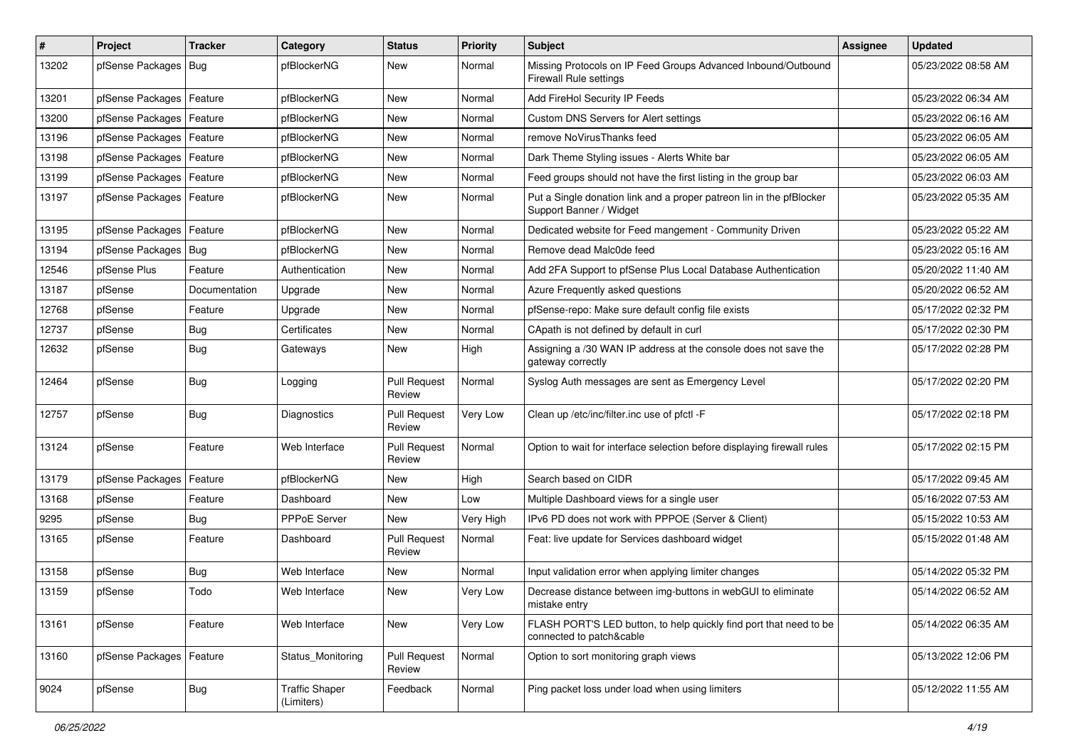| #     | Project                    | <b>Tracker</b> | Category                            | <b>Status</b>                 | <b>Priority</b> | <b>Subject</b>                                                                                  | Assignee | <b>Updated</b>      |
|-------|----------------------------|----------------|-------------------------------------|-------------------------------|-----------------|-------------------------------------------------------------------------------------------------|----------|---------------------|
| 13202 | pfSense Packages           | Bug            | pfBlockerNG                         | New                           | Normal          | Missing Protocols on IP Feed Groups Advanced Inbound/Outbound<br><b>Firewall Rule settings</b>  |          | 05/23/2022 08:58 AM |
| 13201 | pfSense Packages           | Feature        | pfBlockerNG                         | <b>New</b>                    | Normal          | Add FireHol Security IP Feeds                                                                   |          | 05/23/2022 06:34 AM |
| 13200 | pfSense Packages           | Feature        | pfBlockerNG                         | <b>New</b>                    | Normal          | Custom DNS Servers for Alert settings                                                           |          | 05/23/2022 06:16 AM |
| 13196 | pfSense Packages           | Feature        | pfBlockerNG                         | <b>New</b>                    | Normal          | remove NoVirusThanks feed                                                                       |          | 05/23/2022 06:05 AM |
| 13198 | pfSense Packages           | Feature        | pfBlockerNG                         | <b>New</b>                    | Normal          | Dark Theme Styling issues - Alerts White bar                                                    |          | 05/23/2022 06:05 AM |
| 13199 | pfSense Packages   Feature |                | pfBlockerNG                         | <b>New</b>                    | Normal          | Feed groups should not have the first listing in the group bar                                  |          | 05/23/2022 06:03 AM |
| 13197 | pfSense Packages           | Feature        | pfBlockerNG                         | <b>New</b>                    | Normal          | Put a Single donation link and a proper patreon lin in the pfBlocker<br>Support Banner / Widget |          | 05/23/2022 05:35 AM |
| 13195 | pfSense Packages           | Feature        | pfBlockerNG                         | <b>New</b>                    | Normal          | Dedicated website for Feed mangement - Community Driven                                         |          | 05/23/2022 05:22 AM |
| 13194 | pfSense Packages           | Bug            | pfBlockerNG                         | <b>New</b>                    | Normal          | Remove dead Malc0de feed                                                                        |          | 05/23/2022 05:16 AM |
| 12546 | pfSense Plus               | Feature        | Authentication                      | <b>New</b>                    | Normal          | Add 2FA Support to pfSense Plus Local Database Authentication                                   |          | 05/20/2022 11:40 AM |
| 13187 | pfSense                    | Documentation  | Upgrade                             | <b>New</b>                    | Normal          | Azure Frequently asked questions                                                                |          | 05/20/2022 06:52 AM |
| 12768 | pfSense                    | Feature        | Upgrade                             | New                           | Normal          | pfSense-repo: Make sure default config file exists                                              |          | 05/17/2022 02:32 PM |
| 12737 | pfSense                    | Bug            | Certificates                        | <b>New</b>                    | Normal          | CApath is not defined by default in curl                                                        |          | 05/17/2022 02:30 PM |
| 12632 | pfSense                    | <b>Bug</b>     | Gateways                            | <b>New</b>                    | High            | Assigning a /30 WAN IP address at the console does not save the<br>gateway correctly            |          | 05/17/2022 02:28 PM |
| 12464 | pfSense                    | <b>Bug</b>     | Logging                             | <b>Pull Request</b><br>Review | Normal          | Syslog Auth messages are sent as Emergency Level                                                |          | 05/17/2022 02:20 PM |
| 12757 | pfSense                    | <b>Bug</b>     | Diagnostics                         | <b>Pull Request</b><br>Review | Very Low        | Clean up /etc/inc/filter.inc use of pfctl -F                                                    |          | 05/17/2022 02:18 PM |
| 13124 | pfSense                    | Feature        | Web Interface                       | <b>Pull Request</b><br>Review | Normal          | Option to wait for interface selection before displaying firewall rules                         |          | 05/17/2022 02:15 PM |
| 13179 | pfSense Packages           | Feature        | pfBlockerNG                         | <b>New</b>                    | High            | Search based on CIDR                                                                            |          | 05/17/2022 09:45 AM |
| 13168 | pfSense                    | Feature        | Dashboard                           | New                           | Low             | Multiple Dashboard views for a single user                                                      |          | 05/16/2022 07:53 AM |
| 9295  | pfSense                    | Bug            | <b>PPPoE Server</b>                 | <b>New</b>                    | Very High       | IPv6 PD does not work with PPPOE (Server & Client)                                              |          | 05/15/2022 10:53 AM |
| 13165 | pfSense                    | Feature        | Dashboard                           | <b>Pull Request</b><br>Review | Normal          | Feat: live update for Services dashboard widget                                                 |          | 05/15/2022 01:48 AM |
| 13158 | pfSense                    | <b>Bug</b>     | Web Interface                       | <b>New</b>                    | Normal          | Input validation error when applying limiter changes                                            |          | 05/14/2022 05:32 PM |
| 13159 | pfSense                    | Todo           | Web Interface                       | New                           | Very Low        | Decrease distance between img-buttons in webGUI to eliminate<br>mistake entry                   |          | 05/14/2022 06:52 AM |
| 13161 | pfSense                    | Feature        | Web Interface                       | New                           | Very Low        | FLASH PORT'S LED button, to help quickly find port that need to be<br>connected to patch&cable  |          | 05/14/2022 06:35 AM |
| 13160 | pfSense Packages   Feature |                | Status_Monitoring                   | <b>Pull Request</b><br>Review | Normal          | Option to sort monitoring graph views                                                           |          | 05/13/2022 12:06 PM |
| 9024  | pfSense                    | Bug            | <b>Traffic Shaper</b><br>(Limiters) | Feedback                      | Normal          | Ping packet loss under load when using limiters                                                 |          | 05/12/2022 11:55 AM |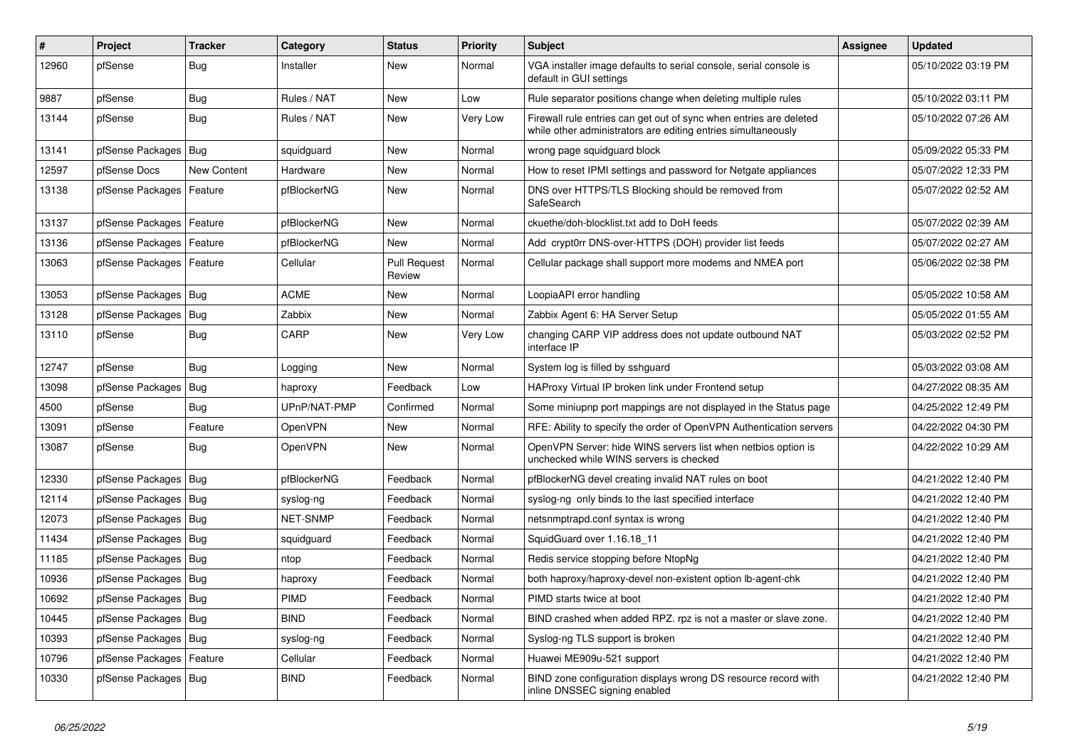| #     | Project                    | <b>Tracker</b> | Category     | <b>Status</b>                 | <b>Priority</b> | Subject                                                                                                                             | <b>Assignee</b> | <b>Updated</b>      |
|-------|----------------------------|----------------|--------------|-------------------------------|-----------------|-------------------------------------------------------------------------------------------------------------------------------------|-----------------|---------------------|
| 12960 | pfSense                    | <b>Bug</b>     | Installer    | New                           | Normal          | VGA installer image defaults to serial console, serial console is<br>default in GUI settings                                        |                 | 05/10/2022 03:19 PM |
| 9887  | pfSense                    | Bug            | Rules / NAT  | New                           | Low             | Rule separator positions change when deleting multiple rules                                                                        |                 | 05/10/2022 03:11 PM |
| 13144 | pfSense                    | Bug            | Rules / NAT  | New                           | Very Low        | Firewall rule entries can get out of sync when entries are deleted<br>while other administrators are editing entries simultaneously |                 | 05/10/2022 07:26 AM |
| 13141 | pfSense Packages   Bug     |                | squidguard   | New                           | Normal          | wrong page squidguard block                                                                                                         |                 | 05/09/2022 05:33 PM |
| 12597 | pfSense Docs               | New Content    | Hardware     | New                           | Normal          | How to reset IPMI settings and password for Netgate appliances                                                                      |                 | 05/07/2022 12:33 PM |
| 13138 | pfSense Packages   Feature |                | pfBlockerNG  | <b>New</b>                    | Normal          | DNS over HTTPS/TLS Blocking should be removed from<br>SafeSearch                                                                    |                 | 05/07/2022 02:52 AM |
| 13137 | pfSense Packages   Feature |                | pfBlockerNG  | New                           | Normal          | ckuethe/doh-blocklist.txt add to DoH feeds                                                                                          |                 | 05/07/2022 02:39 AM |
| 13136 | pfSense Packages           | Feature        | pfBlockerNG  | New                           | Normal          | Add crypt0rr DNS-over-HTTPS (DOH) provider list feeds                                                                               |                 | 05/07/2022 02:27 AM |
| 13063 | pfSense Packages   Feature |                | Cellular     | <b>Pull Request</b><br>Review | Normal          | Cellular package shall support more modems and NMEA port                                                                            |                 | 05/06/2022 02:38 PM |
| 13053 | pfSense Packages   Bug     |                | <b>ACME</b>  | New                           | Normal          | LoopiaAPI error handling                                                                                                            |                 | 05/05/2022 10:58 AM |
| 13128 | pfSense Packages   Bug     |                | Zabbix       | <b>New</b>                    | Normal          | Zabbix Agent 6: HA Server Setup                                                                                                     |                 | 05/05/2022 01:55 AM |
| 13110 | pfSense                    | Bug            | CARP         | New                           | Very Low        | changing CARP VIP address does not update outbound NAT<br>interface IP                                                              |                 | 05/03/2022 02:52 PM |
| 12747 | pfSense                    | Bug            | Logging      | New                           | Normal          | System log is filled by sshguard                                                                                                    |                 | 05/03/2022 03:08 AM |
| 13098 | pfSense Packages           | <b>Bug</b>     | haproxy      | Feedback                      | Low             | HAProxy Virtual IP broken link under Frontend setup                                                                                 |                 | 04/27/2022 08:35 AM |
| 4500  | pfSense                    | <b>Bug</b>     | UPnP/NAT-PMP | Confirmed                     | Normal          | Some miniupnp port mappings are not displayed in the Status page                                                                    |                 | 04/25/2022 12:49 PM |
| 13091 | pfSense                    | Feature        | OpenVPN      | New                           | Normal          | RFE: Ability to specify the order of OpenVPN Authentication servers                                                                 |                 | 04/22/2022 04:30 PM |
| 13087 | pfSense                    | <b>Bug</b>     | OpenVPN      | New                           | Normal          | OpenVPN Server: hide WINS servers list when netbios option is<br>unchecked while WINS servers is checked                            |                 | 04/22/2022 10:29 AM |
| 12330 | pfSense Packages           | Bug            | pfBlockerNG  | Feedback                      | Normal          | pfBlockerNG devel creating invalid NAT rules on boot                                                                                |                 | 04/21/2022 12:40 PM |
| 12114 | pfSense Packages   Bug     |                | syslog-ng    | Feedback                      | Normal          | syslog-ng only binds to the last specified interface                                                                                |                 | 04/21/2022 12:40 PM |
| 12073 | pfSense Packages   Bug     |                | NET-SNMP     | Feedback                      | Normal          | netsnmptrapd.conf syntax is wrong                                                                                                   |                 | 04/21/2022 12:40 PM |
| 11434 | pfSense Packages   Bug     |                | squidguard   | Feedback                      | Normal          | SquidGuard over 1.16.18 11                                                                                                          |                 | 04/21/2022 12:40 PM |
| 11185 | pfSense Packages   Bug     |                | ntop         | Feedback                      | Normal          | Redis service stopping before NtopNg                                                                                                |                 | 04/21/2022 12:40 PM |
| 10936 | pfSense Packages   Bug     |                | haproxy      | Feedback                      | Normal          | both haproxy/haproxy-devel non-existent option lb-agent-chk                                                                         |                 | 04/21/2022 12:40 PM |
| 10692 | pfSense Packages   Bug     |                | <b>PIMD</b>  | Feedback                      | Normal          | PIMD starts twice at boot                                                                                                           |                 | 04/21/2022 12:40 PM |
| 10445 | pfSense Packages   Bug     |                | <b>BIND</b>  | Feedback                      | Normal          | BIND crashed when added RPZ. rpz is not a master or slave zone.                                                                     |                 | 04/21/2022 12:40 PM |
| 10393 | pfSense Packages   Bug     |                | syslog-ng    | Feedback                      | Normal          | Syslog-ng TLS support is broken                                                                                                     |                 | 04/21/2022 12:40 PM |
| 10796 | pfSense Packages   Feature |                | Cellular     | Feedback                      | Normal          | Huawei ME909u-521 support                                                                                                           |                 | 04/21/2022 12:40 PM |
| 10330 | pfSense Packages   Bug     |                | <b>BIND</b>  | Feedback                      | Normal          | BIND zone configuration displays wrong DS resource record with<br>inline DNSSEC signing enabled                                     |                 | 04/21/2022 12:40 PM |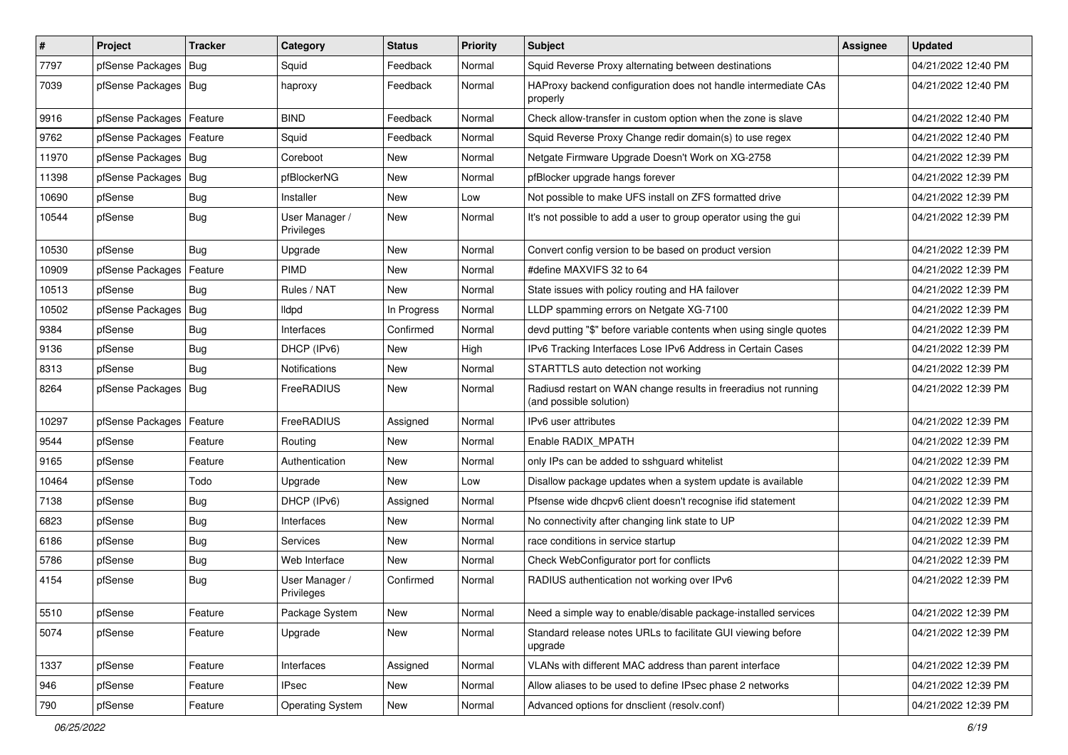| $\vert$ # | Project                    | <b>Tracker</b> | Category                     | <b>Status</b> | <b>Priority</b> | Subject                                                                                    | <b>Assignee</b> | <b>Updated</b>      |
|-----------|----------------------------|----------------|------------------------------|---------------|-----------------|--------------------------------------------------------------------------------------------|-----------------|---------------------|
| 7797      | pfSense Packages           | Bug            | Squid                        | Feedback      | Normal          | Squid Reverse Proxy alternating between destinations                                       |                 | 04/21/2022 12:40 PM |
| 7039      | pfSense Packages   Bug     |                | haproxy                      | Feedback      | Normal          | HAProxy backend configuration does not handle intermediate CAs<br>properly                 |                 | 04/21/2022 12:40 PM |
| 9916      | pfSense Packages           | Feature        | <b>BIND</b>                  | Feedback      | Normal          | Check allow-transfer in custom option when the zone is slave                               |                 | 04/21/2022 12:40 PM |
| 9762      | pfSense Packages           | Feature        | Squid                        | Feedback      | Normal          | Squid Reverse Proxy Change redir domain(s) to use regex                                    |                 | 04/21/2022 12:40 PM |
| 11970     | pfSense Packages   Bug     |                | Coreboot                     | New           | Normal          | Netgate Firmware Upgrade Doesn't Work on XG-2758                                           |                 | 04/21/2022 12:39 PM |
| 11398     | pfSense Packages   Bug     |                | pfBlockerNG                  | New           | Normal          | pfBlocker upgrade hangs forever                                                            |                 | 04/21/2022 12:39 PM |
| 10690     | pfSense                    | Bug            | Installer                    | <b>New</b>    | Low             | Not possible to make UFS install on ZFS formatted drive                                    |                 | 04/21/2022 12:39 PM |
| 10544     | pfSense                    | Bug            | User Manager /<br>Privileges | New           | Normal          | It's not possible to add a user to group operator using the gui                            |                 | 04/21/2022 12:39 PM |
| 10530     | pfSense                    | Bug            | Upgrade                      | New           | Normal          | Convert config version to be based on product version                                      |                 | 04/21/2022 12:39 PM |
| 10909     | pfSense Packages           | Feature        | <b>PIMD</b>                  | New           | Normal          | #define MAXVIFS 32 to 64                                                                   |                 | 04/21/2022 12:39 PM |
| 10513     | pfSense                    | Bug            | Rules / NAT                  | New           | Normal          | State issues with policy routing and HA failover                                           |                 | 04/21/2022 12:39 PM |
| 10502     | pfSense Packages           | Bug            | <b>Ildpd</b>                 | In Progress   | Normal          | LLDP spamming errors on Netgate XG-7100                                                    |                 | 04/21/2022 12:39 PM |
| 9384      | pfSense                    | <b>Bug</b>     | Interfaces                   | Confirmed     | Normal          | devd putting "\$" before variable contents when using single quotes                        |                 | 04/21/2022 12:39 PM |
| 9136      | pfSense                    | <b>Bug</b>     | DHCP (IPv6)                  | New           | High            | IPv6 Tracking Interfaces Lose IPv6 Address in Certain Cases                                |                 | 04/21/2022 12:39 PM |
| 8313      | pfSense                    | Bug            | <b>Notifications</b>         | New           | Normal          | STARTTLS auto detection not working                                                        |                 | 04/21/2022 12:39 PM |
| 8264      | pfSense Packages   Bug     |                | FreeRADIUS                   | <b>New</b>    | Normal          | Radiusd restart on WAN change results in freeradius not running<br>(and possible solution) |                 | 04/21/2022 12:39 PM |
| 10297     | pfSense Packages   Feature |                | FreeRADIUS                   | Assigned      | Normal          | IPv6 user attributes                                                                       |                 | 04/21/2022 12:39 PM |
| 9544      | pfSense                    | Feature        | Routing                      | <b>New</b>    | Normal          | Enable RADIX_MPATH                                                                         |                 | 04/21/2022 12:39 PM |
| 9165      | pfSense                    | Feature        | Authentication               | New           | Normal          | only IPs can be added to sshguard whitelist                                                |                 | 04/21/2022 12:39 PM |
| 10464     | pfSense                    | Todo           | Upgrade                      | New           | Low             | Disallow package updates when a system update is available                                 |                 | 04/21/2022 12:39 PM |
| 7138      | pfSense                    | Bug            | DHCP (IPv6)                  | Assigned      | Normal          | Pfsense wide dhcpv6 client doesn't recognise ifid statement                                |                 | 04/21/2022 12:39 PM |
| 6823      | pfSense                    | <b>Bug</b>     | Interfaces                   | New           | Normal          | No connectivity after changing link state to UP                                            |                 | 04/21/2022 12:39 PM |
| 6186      | pfSense                    | <b>Bug</b>     | Services                     | New           | Normal          | race conditions in service startup                                                         |                 | 04/21/2022 12:39 PM |
| 5786      | pfSense                    | <b>Bug</b>     | Web Interface                | New           | Normal          | Check WebConfigurator port for conflicts                                                   |                 | 04/21/2022 12:39 PM |
| 4154      | pfSense                    | Bug            | User Manager /<br>Privileges | Confirmed     | Normal          | RADIUS authentication not working over IPv6                                                |                 | 04/21/2022 12:39 PM |
| 5510      | pfSense                    | Feature        | Package System               | New           | Normal          | Need a simple way to enable/disable package-installed services                             |                 | 04/21/2022 12:39 PM |
| 5074      | pfSense                    | Feature        | Upgrade                      | New           | Normal          | Standard release notes URLs to facilitate GUI viewing before<br>upgrade                    |                 | 04/21/2022 12:39 PM |
| 1337      | pfSense                    | Feature        | Interfaces                   | Assigned      | Normal          | VLANs with different MAC address than parent interface                                     |                 | 04/21/2022 12:39 PM |
| 946       | pfSense                    | Feature        | <b>IPsec</b>                 | New           | Normal          | Allow aliases to be used to define IPsec phase 2 networks                                  |                 | 04/21/2022 12:39 PM |
| 790       | pfSense                    | Feature        | <b>Operating System</b>      | New           | Normal          | Advanced options for dnsclient (resolv.conf)                                               |                 | 04/21/2022 12:39 PM |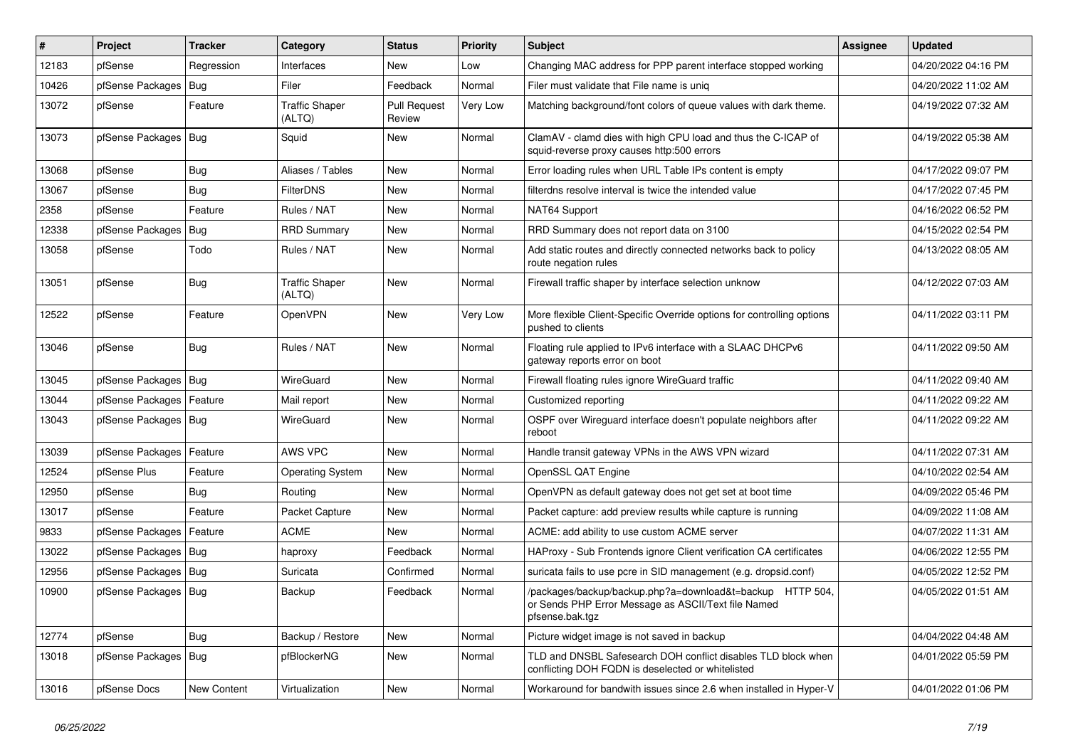| $\vert$ # | Project                    | <b>Tracker</b> | Category                        | <b>Status</b>                 | Priority | <b>Subject</b>                                                                                                                      | <b>Assignee</b> | <b>Updated</b>      |
|-----------|----------------------------|----------------|---------------------------------|-------------------------------|----------|-------------------------------------------------------------------------------------------------------------------------------------|-----------------|---------------------|
| 12183     | pfSense                    | Regression     | Interfaces                      | New                           | Low      | Changing MAC address for PPP parent interface stopped working                                                                       |                 | 04/20/2022 04:16 PM |
| 10426     | pfSense Packages   Bug     |                | Filer                           | Feedback                      | Normal   | Filer must validate that File name is uniq                                                                                          |                 | 04/20/2022 11:02 AM |
| 13072     | pfSense                    | Feature        | <b>Traffic Shaper</b><br>(ALTQ) | <b>Pull Request</b><br>Review | Very Low | Matching background/font colors of queue values with dark theme.                                                                    |                 | 04/19/2022 07:32 AM |
| 13073     | pfSense Packages   Bug     |                | Squid                           | New                           | Normal   | ClamAV - clamd dies with high CPU load and thus the C-ICAP of<br>squid-reverse proxy causes http:500 errors                         |                 | 04/19/2022 05:38 AM |
| 13068     | pfSense                    | Bug            | Aliases / Tables                | New                           | Normal   | Error loading rules when URL Table IPs content is empty                                                                             |                 | 04/17/2022 09:07 PM |
| 13067     | pfSense                    | <b>Bug</b>     | <b>FilterDNS</b>                | <b>New</b>                    | Normal   | filterdns resolve interval is twice the intended value                                                                              |                 | 04/17/2022 07:45 PM |
| 2358      | pfSense                    | Feature        | Rules / NAT                     | New                           | Normal   | NAT64 Support                                                                                                                       |                 | 04/16/2022 06:52 PM |
| 12338     | pfSense Packages           | Bug            | <b>RRD Summary</b>              | <b>New</b>                    | Normal   | RRD Summary does not report data on 3100                                                                                            |                 | 04/15/2022 02:54 PM |
| 13058     | pfSense                    | Todo           | Rules / NAT                     | New                           | Normal   | Add static routes and directly connected networks back to policy<br>route negation rules                                            |                 | 04/13/2022 08:05 AM |
| 13051     | pfSense                    | Bug            | <b>Traffic Shaper</b><br>(ALTQ) | New                           | Normal   | Firewall traffic shaper by interface selection unknow                                                                               |                 | 04/12/2022 07:03 AM |
| 12522     | pfSense                    | Feature        | OpenVPN                         | New                           | Very Low | More flexible Client-Specific Override options for controlling options<br>pushed to clients                                         |                 | 04/11/2022 03:11 PM |
| 13046     | pfSense                    | <b>Bug</b>     | Rules / NAT                     | <b>New</b>                    | Normal   | Floating rule applied to IPv6 interface with a SLAAC DHCPv6<br>gateway reports error on boot                                        |                 | 04/11/2022 09:50 AM |
| 13045     | pfSense Packages   Bug     |                | WireGuard                       | <b>New</b>                    | Normal   | Firewall floating rules ignore WireGuard traffic                                                                                    |                 | 04/11/2022 09:40 AM |
| 13044     | pfSense Packages           | Feature        | Mail report                     | New                           | Normal   | Customized reporting                                                                                                                |                 | 04/11/2022 09:22 AM |
| 13043     | pfSense Packages   Bug     |                | WireGuard                       | New                           | Normal   | OSPF over Wireguard interface doesn't populate neighbors after<br>reboot                                                            |                 | 04/11/2022 09:22 AM |
| 13039     | pfSense Packages   Feature |                | AWS VPC                         | <b>New</b>                    | Normal   | Handle transit gateway VPNs in the AWS VPN wizard                                                                                   |                 | 04/11/2022 07:31 AM |
| 12524     | pfSense Plus               | Feature        | <b>Operating System</b>         | New                           | Normal   | OpenSSL QAT Engine                                                                                                                  |                 | 04/10/2022 02:54 AM |
| 12950     | pfSense                    | <b>Bug</b>     | Routing                         | <b>New</b>                    | Normal   | OpenVPN as default gateway does not get set at boot time                                                                            |                 | 04/09/2022 05:46 PM |
| 13017     | pfSense                    | Feature        | Packet Capture                  | New                           | Normal   | Packet capture: add preview results while capture is running                                                                        |                 | 04/09/2022 11:08 AM |
| 9833      | pfSense Packages           | Feature        | ACME                            | <b>New</b>                    | Normal   | ACME: add ability to use custom ACME server                                                                                         |                 | 04/07/2022 11:31 AM |
| 13022     | pfSense Packages   Bug     |                | haproxy                         | Feedback                      | Normal   | HAProxy - Sub Frontends ignore Client verification CA certificates                                                                  |                 | 04/06/2022 12:55 PM |
| 12956     | pfSense Packages           | Bug            | Suricata                        | Confirmed                     | Normal   | suricata fails to use pcre in SID management (e.g. dropsid.conf)                                                                    |                 | 04/05/2022 12:52 PM |
| 10900     | pfSense Packages   Bug     |                | Backup                          | Feedback                      | Normal   | /packages/backup/backup.php?a=download&t=backup HTTP 504,<br>or Sends PHP Error Message as ASCII/Text file Named<br>pfsense.bak.tgz |                 | 04/05/2022 01:51 AM |
| 12774     | pfSense                    | Bug            | Backup / Restore                | New                           | Normal   | Picture widget image is not saved in backup                                                                                         |                 | 04/04/2022 04:48 AM |
| 13018     | pfSense Packages   Bug     |                | pfBlockerNG                     | New                           | Normal   | TLD and DNSBL Safesearch DOH conflict disables TLD block when<br>conflicting DOH FQDN is deselected or whitelisted                  |                 | 04/01/2022 05:59 PM |
| 13016     | pfSense Docs               | New Content    | Virtualization                  | New                           | Normal   | Workaround for bandwith issues since 2.6 when installed in Hyper-V                                                                  |                 | 04/01/2022 01:06 PM |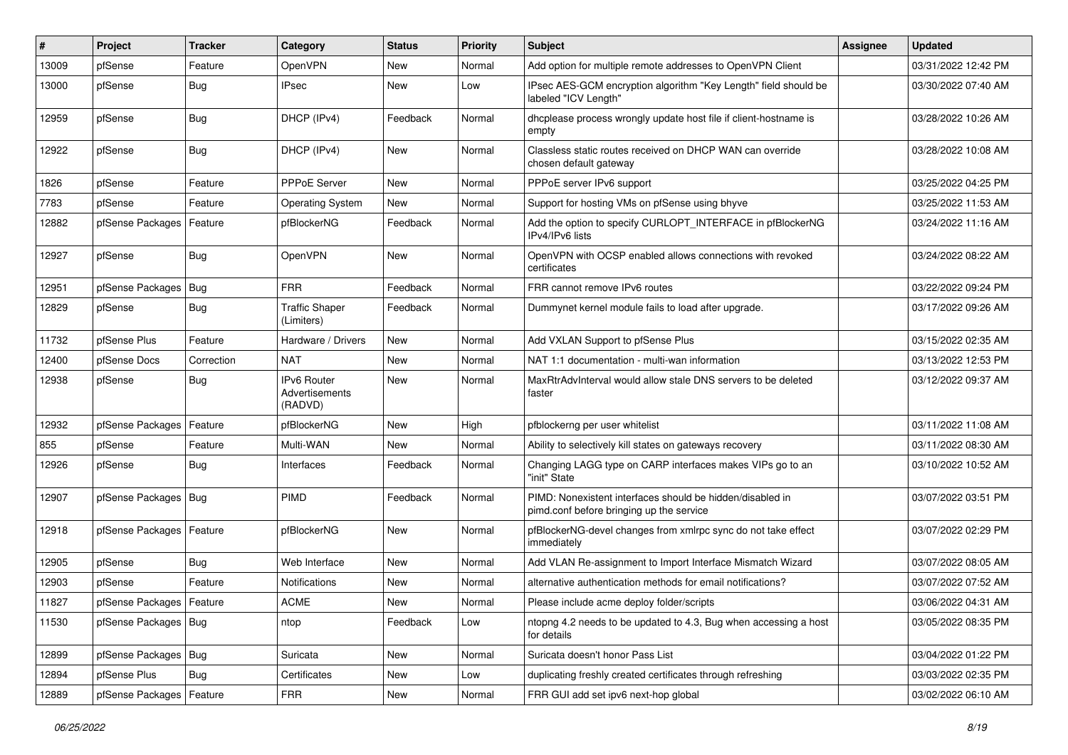| ∦     | Project                    | <b>Tracker</b> | Category                                        | <b>Status</b> | <b>Priority</b> | Subject                                                                                               | <b>Assignee</b> | <b>Updated</b>      |
|-------|----------------------------|----------------|-------------------------------------------------|---------------|-----------------|-------------------------------------------------------------------------------------------------------|-----------------|---------------------|
| 13009 | pfSense                    | Feature        | OpenVPN                                         | New           | Normal          | Add option for multiple remote addresses to OpenVPN Client                                            |                 | 03/31/2022 12:42 PM |
| 13000 | pfSense                    | Bug            | <b>IPsec</b>                                    | New           | Low             | IPsec AES-GCM encryption algorithm "Key Length" field should be<br>labeled "ICV Length"               |                 | 03/30/2022 07:40 AM |
| 12959 | pfSense                    | Bug            | DHCP (IPv4)                                     | Feedback      | Normal          | dhcplease process wrongly update host file if client-hostname is<br>empty                             |                 | 03/28/2022 10:26 AM |
| 12922 | pfSense                    | Bug            | DHCP (IPv4)                                     | New           | Normal          | Classless static routes received on DHCP WAN can override<br>chosen default gateway                   |                 | 03/28/2022 10:08 AM |
| 1826  | pfSense                    | Feature        | PPPoE Server                                    | <b>New</b>    | Normal          | PPPoE server IPv6 support                                                                             |                 | 03/25/2022 04:25 PM |
| 7783  | pfSense                    | Feature        | <b>Operating System</b>                         | <b>New</b>    | Normal          | Support for hosting VMs on pfSense using bhyve                                                        |                 | 03/25/2022 11:53 AM |
| 12882 | pfSense Packages   Feature |                | pfBlockerNG                                     | Feedback      | Normal          | Add the option to specify CURLOPT_INTERFACE in pfBlockerNG<br>IPv4/IPv6 lists                         |                 | 03/24/2022 11:16 AM |
| 12927 | pfSense                    | <b>Bug</b>     | OpenVPN                                         | <b>New</b>    | Normal          | OpenVPN with OCSP enabled allows connections with revoked<br>certificates                             |                 | 03/24/2022 08:22 AM |
| 12951 | pfSense Packages   Bug     |                | <b>FRR</b>                                      | Feedback      | Normal          | FRR cannot remove IPv6 routes                                                                         |                 | 03/22/2022 09:24 PM |
| 12829 | pfSense                    | Bug            | <b>Traffic Shaper</b><br>(Limiters)             | Feedback      | Normal          | Dummynet kernel module fails to load after upgrade.                                                   |                 | 03/17/2022 09:26 AM |
| 11732 | pfSense Plus               | Feature        | Hardware / Drivers                              | <b>New</b>    | Normal          | Add VXLAN Support to pfSense Plus                                                                     |                 | 03/15/2022 02:35 AM |
| 12400 | pfSense Docs               | Correction     | <b>NAT</b>                                      | New           | Normal          | NAT 1:1 documentation - multi-wan information                                                         |                 | 03/13/2022 12:53 PM |
| 12938 | pfSense                    | <b>Bug</b>     | <b>IPv6 Router</b><br>Advertisements<br>(RADVD) | <b>New</b>    | Normal          | MaxRtrAdvInterval would allow stale DNS servers to be deleted<br>faster                               |                 | 03/12/2022 09:37 AM |
| 12932 | pfSense Packages           | Feature        | pfBlockerNG                                     | <b>New</b>    | High            | pfblockerng per user whitelist                                                                        |                 | 03/11/2022 11:08 AM |
| 855   | pfSense                    | Feature        | Multi-WAN                                       | <b>New</b>    | Normal          | Ability to selectively kill states on gateways recovery                                               |                 | 03/11/2022 08:30 AM |
| 12926 | pfSense                    | Bug            | Interfaces                                      | Feedback      | Normal          | Changing LAGG type on CARP interfaces makes VIPs go to an<br>"init" State                             |                 | 03/10/2022 10:52 AM |
| 12907 | pfSense Packages   Bug     |                | <b>PIMD</b>                                     | Feedback      | Normal          | PIMD: Nonexistent interfaces should be hidden/disabled in<br>pimd.conf before bringing up the service |                 | 03/07/2022 03:51 PM |
| 12918 | pfSense Packages   Feature |                | pfBlockerNG                                     | <b>New</b>    | Normal          | pfBlockerNG-devel changes from xmlrpc sync do not take effect<br>immediately                          |                 | 03/07/2022 02:29 PM |
| 12905 | pfSense                    | <b>Bug</b>     | Web Interface                                   | <b>New</b>    | Normal          | Add VLAN Re-assignment to Import Interface Mismatch Wizard                                            |                 | 03/07/2022 08:05 AM |
| 12903 | pfSense                    | Feature        | <b>Notifications</b>                            | New           | Normal          | alternative authentication methods for email notifications?                                           |                 | 03/07/2022 07:52 AM |
| 11827 | pfSense Packages   Feature |                | <b>ACME</b>                                     | New           | Normal          | Please include acme deploy folder/scripts                                                             |                 | 03/06/2022 04:31 AM |
| 11530 | pfSense Packages   Bug     |                | ntop                                            | Feedback      | Low             | ntopng 4.2 needs to be updated to 4.3, Bug when accessing a host<br>for details                       |                 | 03/05/2022 08:35 PM |
| 12899 | pfSense Packages   Bug     |                | Suricata                                        | New           | Normal          | Suricata doesn't honor Pass List                                                                      |                 | 03/04/2022 01:22 PM |
| 12894 | pfSense Plus               | Bug            | Certificates                                    | New           | Low             | duplicating freshly created certificates through refreshing                                           |                 | 03/03/2022 02:35 PM |
| 12889 | pfSense Packages   Feature |                | <b>FRR</b>                                      | New           | Normal          | FRR GUI add set ipv6 next-hop global                                                                  |                 | 03/02/2022 06:10 AM |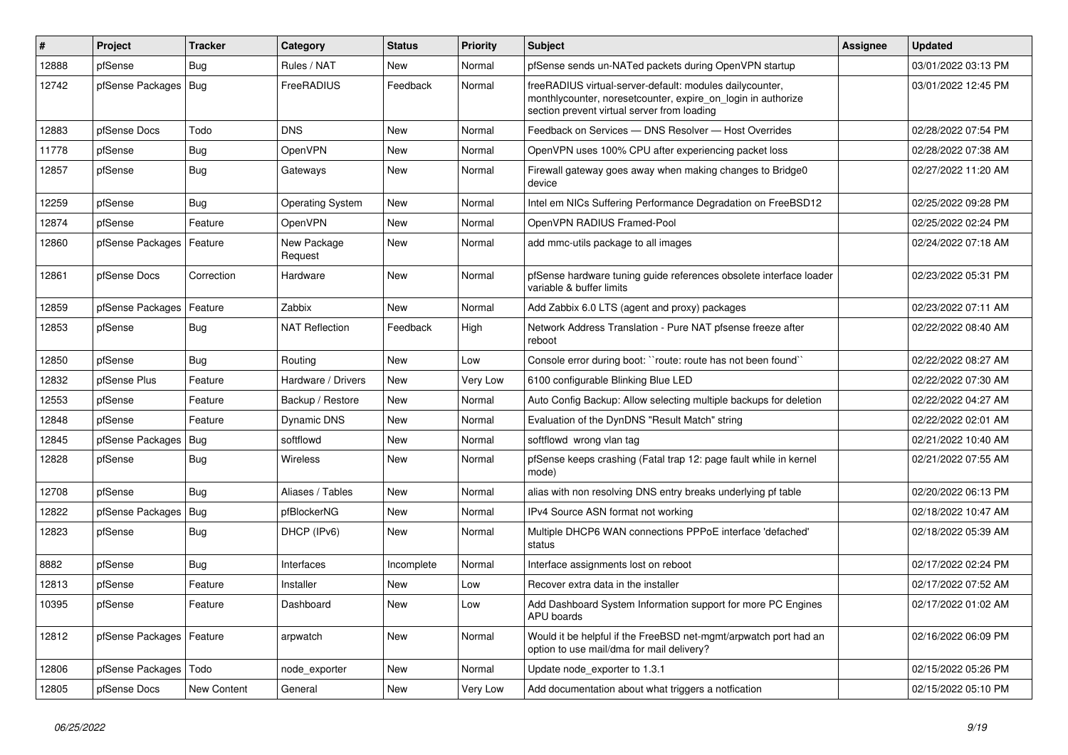| #     | Project                    | <b>Tracker</b> | Category                | <b>Status</b> | <b>Priority</b> | <b>Subject</b>                                                                                                                                                          | <b>Assignee</b> | <b>Updated</b>      |
|-------|----------------------------|----------------|-------------------------|---------------|-----------------|-------------------------------------------------------------------------------------------------------------------------------------------------------------------------|-----------------|---------------------|
| 12888 | pfSense                    | Bug            | Rules / NAT             | New           | Normal          | pfSense sends un-NATed packets during OpenVPN startup                                                                                                                   |                 | 03/01/2022 03:13 PM |
| 12742 | pfSense Packages   Bug     |                | FreeRADIUS              | Feedback      | Normal          | freeRADIUS virtual-server-default: modules dailycounter,<br>monthlycounter, noresetcounter, expire on login in authorize<br>section prevent virtual server from loading |                 | 03/01/2022 12:45 PM |
| 12883 | pfSense Docs               | Todo           | <b>DNS</b>              | <b>New</b>    | Normal          | Feedback on Services - DNS Resolver - Host Overrides                                                                                                                    |                 | 02/28/2022 07:54 PM |
| 11778 | pfSense                    | <b>Bug</b>     | OpenVPN                 | New           | Normal          | OpenVPN uses 100% CPU after experiencing packet loss                                                                                                                    |                 | 02/28/2022 07:38 AM |
| 12857 | pfSense                    | <b>Bug</b>     | Gateways                | New           | Normal          | Firewall gateway goes away when making changes to Bridge0<br>device                                                                                                     |                 | 02/27/2022 11:20 AM |
| 12259 | pfSense                    | <b>Bug</b>     | <b>Operating System</b> | <b>New</b>    | Normal          | Intel em NICs Suffering Performance Degradation on FreeBSD12                                                                                                            |                 | 02/25/2022 09:28 PM |
| 12874 | pfSense                    | Feature        | OpenVPN                 | New           | Normal          | OpenVPN RADIUS Framed-Pool                                                                                                                                              |                 | 02/25/2022 02:24 PM |
| 12860 | pfSense Packages           | Feature        | New Package<br>Request  | New           | Normal          | add mmc-utils package to all images                                                                                                                                     |                 | 02/24/2022 07:18 AM |
| 12861 | pfSense Docs               | Correction     | Hardware                | <b>New</b>    | Normal          | pfSense hardware tuning guide references obsolete interface loader<br>variable & buffer limits                                                                          |                 | 02/23/2022 05:31 PM |
| 12859 | pfSense Packages           | Feature        | Zabbix                  | <b>New</b>    | Normal          | Add Zabbix 6.0 LTS (agent and proxy) packages                                                                                                                           |                 | 02/23/2022 07:11 AM |
| 12853 | pfSense                    | <b>Bug</b>     | <b>NAT Reflection</b>   | Feedback      | High            | Network Address Translation - Pure NAT pfsense freeze after<br>reboot                                                                                                   |                 | 02/22/2022 08:40 AM |
| 12850 | pfSense                    | Bug            | Routing                 | <b>New</b>    | Low             | Console error during boot: "route: route has not been found"                                                                                                            |                 | 02/22/2022 08:27 AM |
| 12832 | pfSense Plus               | Feature        | Hardware / Drivers      | <b>New</b>    | Very Low        | 6100 configurable Blinking Blue LED                                                                                                                                     |                 | 02/22/2022 07:30 AM |
| 12553 | pfSense                    | Feature        | Backup / Restore        | New           | Normal          | Auto Config Backup: Allow selecting multiple backups for deletion                                                                                                       |                 | 02/22/2022 04:27 AM |
| 12848 | pfSense                    | Feature        | Dynamic DNS             | <b>New</b>    | Normal          | Evaluation of the DynDNS "Result Match" string                                                                                                                          |                 | 02/22/2022 02:01 AM |
| 12845 | pfSense Packages           | Bug            | softflowd               | New           | Normal          | softflowd wrong vlan tag                                                                                                                                                |                 | 02/21/2022 10:40 AM |
| 12828 | pfSense                    | <b>Bug</b>     | <b>Wireless</b>         | New           | Normal          | pfSense keeps crashing (Fatal trap 12: page fault while in kernel<br>mode)                                                                                              |                 | 02/21/2022 07:55 AM |
| 12708 | pfSense                    | Bug            | Aliases / Tables        | <b>New</b>    | Normal          | alias with non resolving DNS entry breaks underlying pf table                                                                                                           |                 | 02/20/2022 06:13 PM |
| 12822 | pfSense Packages           | Bug            | pfBlockerNG             | New           | Normal          | IPv4 Source ASN format not working                                                                                                                                      |                 | 02/18/2022 10:47 AM |
| 12823 | pfSense                    | <b>Bug</b>     | DHCP (IPv6)             | <b>New</b>    | Normal          | Multiple DHCP6 WAN connections PPPoE interface 'defached'<br>status                                                                                                     |                 | 02/18/2022 05:39 AM |
| 8882  | pfSense                    | Bug            | Interfaces              | Incomplete    | Normal          | Interface assignments lost on reboot                                                                                                                                    |                 | 02/17/2022 02:24 PM |
| 12813 | pfSense                    | Feature        | Installer               | New           | Low             | Recover extra data in the installer                                                                                                                                     |                 | 02/17/2022 07:52 AM |
| 10395 | pfSense                    | Feature        | Dashboard               | New           | Low             | Add Dashboard System Information support for more PC Engines<br>APU boards                                                                                              |                 | 02/17/2022 01:02 AM |
| 12812 | pfSense Packages   Feature |                | arpwatch                | New           | Normal          | Would it be helpful if the FreeBSD net-mgmt/arpwatch port had an<br>option to use mail/dma for mail delivery?                                                           |                 | 02/16/2022 06:09 PM |
| 12806 | pfSense Packages   Todo    |                | node_exporter           | New           | Normal          | Update node exporter to 1.3.1                                                                                                                                           |                 | 02/15/2022 05:26 PM |
| 12805 | pfSense Docs               | New Content    | General                 | New           | Very Low        | Add documentation about what triggers a notfication                                                                                                                     |                 | 02/15/2022 05:10 PM |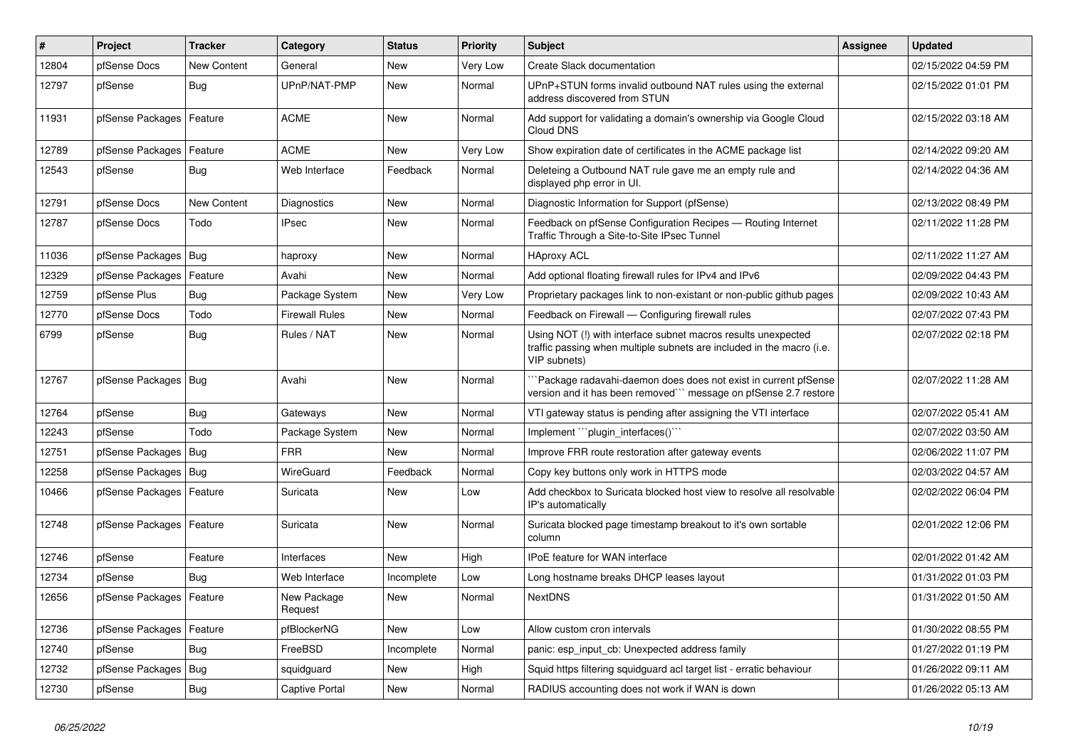| $\vert$ # | Project                    | <b>Tracker</b>     | Category               | <b>Status</b> | <b>Priority</b> | <b>Subject</b>                                                                                                                                         | <b>Assignee</b> | <b>Updated</b>      |
|-----------|----------------------------|--------------------|------------------------|---------------|-----------------|--------------------------------------------------------------------------------------------------------------------------------------------------------|-----------------|---------------------|
| 12804     | pfSense Docs               | New Content        | General                | New           | Very Low        | Create Slack documentation                                                                                                                             |                 | 02/15/2022 04:59 PM |
| 12797     | pfSense                    | Bug                | UPnP/NAT-PMP           | New           | Normal          | UPnP+STUN forms invalid outbound NAT rules using the external<br>address discovered from STUN                                                          |                 | 02/15/2022 01:01 PM |
| 11931     | pfSense Packages   Feature |                    | <b>ACME</b>            | <b>New</b>    | Normal          | Add support for validating a domain's ownership via Google Cloud<br>Cloud DNS                                                                          |                 | 02/15/2022 03:18 AM |
| 12789     | pfSense Packages   Feature |                    | <b>ACME</b>            | New           | Very Low        | Show expiration date of certificates in the ACME package list                                                                                          |                 | 02/14/2022 09:20 AM |
| 12543     | pfSense                    | <b>Bug</b>         | Web Interface          | Feedback      | Normal          | Deleteing a Outbound NAT rule gave me an empty rule and<br>displayed php error in UI.                                                                  |                 | 02/14/2022 04:36 AM |
| 12791     | pfSense Docs               | <b>New Content</b> | <b>Diagnostics</b>     | <b>New</b>    | Normal          | Diagnostic Information for Support (pfSense)                                                                                                           |                 | 02/13/2022 08:49 PM |
| 12787     | pfSense Docs               | Todo               | <b>IPsec</b>           | New           | Normal          | Feedback on pfSense Configuration Recipes - Routing Internet<br>Traffic Through a Site-to-Site IPsec Tunnel                                            |                 | 02/11/2022 11:28 PM |
| 11036     | pfSense Packages   Bug     |                    | haproxy                | New           | Normal          | <b>HAproxy ACL</b>                                                                                                                                     |                 | 02/11/2022 11:27 AM |
| 12329     | pfSense Packages           | Feature            | Avahi                  | <b>New</b>    | Normal          | Add optional floating firewall rules for IPv4 and IPv6                                                                                                 |                 | 02/09/2022 04:43 PM |
| 12759     | pfSense Plus               | <b>Bug</b>         | Package System         | New           | Very Low        | Proprietary packages link to non-existant or non-public github pages                                                                                   |                 | 02/09/2022 10:43 AM |
| 12770     | pfSense Docs               | Todo               | <b>Firewall Rules</b>  | <b>New</b>    | Normal          | Feedback on Firewall — Configuring firewall rules                                                                                                      |                 | 02/07/2022 07:43 PM |
| 6799      | pfSense                    | Bug                | Rules / NAT            | <b>New</b>    | Normal          | Using NOT (!) with interface subnet macros results unexpected<br>traffic passing when multiple subnets are included in the macro (i.e.<br>VIP subnets) |                 | 02/07/2022 02:18 PM |
| 12767     | pfSense Packages   Bug     |                    | Avahi                  | <b>New</b>    | Normal          | Package radavahi-daemon does does not exist in current pfSense<br>version and it has been removed"" message on pfSense 2.7 restore                     |                 | 02/07/2022 11:28 AM |
| 12764     | pfSense                    | <b>Bug</b>         | Gateways               | <b>New</b>    | Normal          | VTI gateway status is pending after assigning the VTI interface                                                                                        |                 | 02/07/2022 05:41 AM |
| 12243     | pfSense                    | Todo               | Package System         | New           | Normal          | Implement "``plugin_interfaces()```                                                                                                                    |                 | 02/07/2022 03:50 AM |
| 12751     | pfSense Packages   Bug     |                    | <b>FRR</b>             | <b>New</b>    | Normal          | Improve FRR route restoration after gateway events                                                                                                     |                 | 02/06/2022 11:07 PM |
| 12258     | pfSense Packages   Bug     |                    | WireGuard              | Feedback      | Normal          | Copy key buttons only work in HTTPS mode                                                                                                               |                 | 02/03/2022 04:57 AM |
| 10466     | pfSense Packages   Feature |                    | Suricata               | <b>New</b>    | Low             | Add checkbox to Suricata blocked host view to resolve all resolvable<br>IP's automatically                                                             |                 | 02/02/2022 06:04 PM |
| 12748     | pfSense Packages   Feature |                    | Suricata               | <b>New</b>    | Normal          | Suricata blocked page timestamp breakout to it's own sortable<br>column                                                                                |                 | 02/01/2022 12:06 PM |
| 12746     | pfSense                    | Feature            | Interfaces             | <b>New</b>    | High            | <b>IPoE</b> feature for WAN interface                                                                                                                  |                 | 02/01/2022 01:42 AM |
| 12734     | pfSense                    | Bug                | Web Interface          | Incomplete    | Low             | Long hostname breaks DHCP leases layout                                                                                                                |                 | 01/31/2022 01:03 PM |
| 12656     | pfSense Packages   Feature |                    | New Package<br>Request | <b>New</b>    | Normal          | <b>NextDNS</b>                                                                                                                                         |                 | 01/31/2022 01:50 AM |
| 12736     | pfSense Packages           | Feature            | pfBlockerNG            | New           | Low             | Allow custom cron intervals                                                                                                                            |                 | 01/30/2022 08:55 PM |
| 12740     | pfSense                    | <b>Bug</b>         | FreeBSD                | Incomplete    | Normal          | panic: esp_input_cb: Unexpected address family                                                                                                         |                 | 01/27/2022 01:19 PM |
| 12732     | pfSense Packages           | Bug                | squidguard             | New           | High            | Squid https filtering squidguard acl target list - erratic behaviour                                                                                   |                 | 01/26/2022 09:11 AM |
| 12730     | pfSense                    | Bug                | Captive Portal         | New           | Normal          | RADIUS accounting does not work if WAN is down                                                                                                         |                 | 01/26/2022 05:13 AM |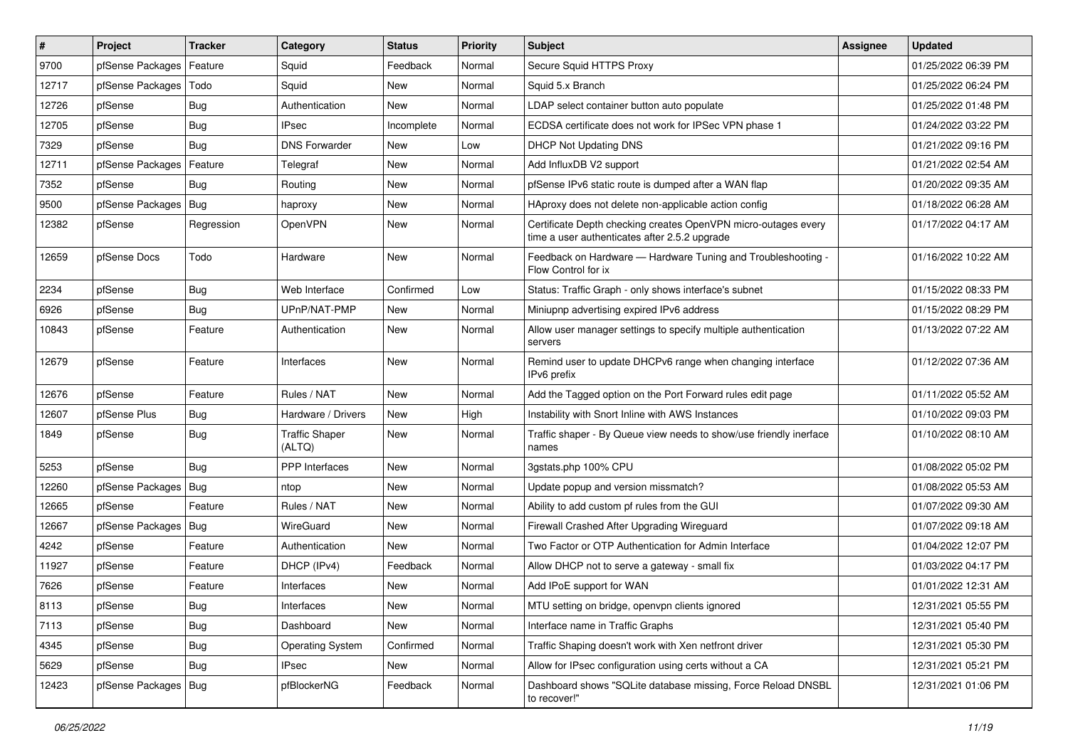| $\vert$ # | Project                 | <b>Tracker</b> | Category                        | <b>Status</b> | <b>Priority</b> | Subject                                                                                                         | Assignee | <b>Updated</b>      |
|-----------|-------------------------|----------------|---------------------------------|---------------|-----------------|-----------------------------------------------------------------------------------------------------------------|----------|---------------------|
| 9700      | pfSense Packages        | Feature        | Squid                           | Feedback      | Normal          | Secure Squid HTTPS Proxy                                                                                        |          | 01/25/2022 06:39 PM |
| 12717     | pfSense Packages   Todo |                | Squid                           | <b>New</b>    | Normal          | Squid 5.x Branch                                                                                                |          | 01/25/2022 06:24 PM |
| 12726     | pfSense                 | <b>Bug</b>     | Authentication                  | New           | Normal          | LDAP select container button auto populate                                                                      |          | 01/25/2022 01:48 PM |
| 12705     | pfSense                 | <b>Bug</b>     | <b>IPsec</b>                    | Incomplete    | Normal          | ECDSA certificate does not work for IPSec VPN phase 1                                                           |          | 01/24/2022 03:22 PM |
| 7329      | pfSense                 | Bug            | <b>DNS Forwarder</b>            | New           | Low             | <b>DHCP Not Updating DNS</b>                                                                                    |          | 01/21/2022 09:16 PM |
| 12711     | pfSense Packages        | Feature        | Telegraf                        | New           | Normal          | Add InfluxDB V2 support                                                                                         |          | 01/21/2022 02:54 AM |
| 7352      | pfSense                 | <b>Bug</b>     | Routing                         | New           | Normal          | pfSense IPv6 static route is dumped after a WAN flap                                                            |          | 01/20/2022 09:35 AM |
| 9500      | pfSense Packages        | <b>Bug</b>     | haproxy                         | New           | Normal          | HAproxy does not delete non-applicable action config                                                            |          | 01/18/2022 06:28 AM |
| 12382     | pfSense                 | Regression     | OpenVPN                         | New           | Normal          | Certificate Depth checking creates OpenVPN micro-outages every<br>time a user authenticates after 2.5.2 upgrade |          | 01/17/2022 04:17 AM |
| 12659     | pfSense Docs            | Todo           | Hardware                        | New           | Normal          | Feedback on Hardware - Hardware Tuning and Troubleshooting -<br>Flow Control for ix                             |          | 01/16/2022 10:22 AM |
| 2234      | pfSense                 | Bug            | Web Interface                   | Confirmed     | Low             | Status: Traffic Graph - only shows interface's subnet                                                           |          | 01/15/2022 08:33 PM |
| 6926      | pfSense                 | <b>Bug</b>     | UPnP/NAT-PMP                    | New           | Normal          | Miniupnp advertising expired IPv6 address                                                                       |          | 01/15/2022 08:29 PM |
| 10843     | pfSense                 | Feature        | Authentication                  | New           | Normal          | Allow user manager settings to specify multiple authentication<br>servers                                       |          | 01/13/2022 07:22 AM |
| 12679     | pfSense                 | Feature        | Interfaces                      | <b>New</b>    | Normal          | Remind user to update DHCPv6 range when changing interface<br>IPv6 prefix                                       |          | 01/12/2022 07:36 AM |
| 12676     | pfSense                 | Feature        | Rules / NAT                     | <b>New</b>    | Normal          | Add the Tagged option on the Port Forward rules edit page                                                       |          | 01/11/2022 05:52 AM |
| 12607     | pfSense Plus            | <b>Bug</b>     | Hardware / Drivers              | New           | High            | Instability with Snort Inline with AWS Instances                                                                |          | 01/10/2022 09:03 PM |
| 1849      | pfSense                 | Bug            | <b>Traffic Shaper</b><br>(ALTQ) | <b>New</b>    | Normal          | Traffic shaper - By Queue view needs to show/use friendly inerface<br>names                                     |          | 01/10/2022 08:10 AM |
| 5253      | pfSense                 | Bug            | PPP Interfaces                  | New           | Normal          | 3gstats.php 100% CPU                                                                                            |          | 01/08/2022 05:02 PM |
| 12260     | pfSense Packages        | Bug            | ntop                            | <b>New</b>    | Normal          | Update popup and version missmatch?                                                                             |          | 01/08/2022 05:53 AM |
| 12665     | pfSense                 | Feature        | Rules / NAT                     | New           | Normal          | Ability to add custom pf rules from the GUI                                                                     |          | 01/07/2022 09:30 AM |
| 12667     | pfSense Packages   Bug  |                | WireGuard                       | New           | Normal          | Firewall Crashed After Upgrading Wireguard                                                                      |          | 01/07/2022 09:18 AM |
| 4242      | pfSense                 | Feature        | Authentication                  | New           | Normal          | Two Factor or OTP Authentication for Admin Interface                                                            |          | 01/04/2022 12:07 PM |
| 11927     | pfSense                 | Feature        | DHCP (IPv4)                     | Feedback      | Normal          | Allow DHCP not to serve a gateway - small fix                                                                   |          | 01/03/2022 04:17 PM |
| 7626      | pfSense                 | Feature        | Interfaces                      | New           | Normal          | Add IPoE support for WAN                                                                                        |          | 01/01/2022 12:31 AM |
| 8113      | pfSense                 | Bug            | Interfaces                      | New           | Normal          | MTU setting on bridge, openypn clients ignored                                                                  |          | 12/31/2021 05:55 PM |
| 7113      | pfSense                 | <b>Bug</b>     | Dashboard                       | New           | Normal          | Interface name in Traffic Graphs                                                                                |          | 12/31/2021 05:40 PM |
| 4345      | pfSense                 | <b>Bug</b>     | <b>Operating System</b>         | Confirmed     | Normal          | Traffic Shaping doesn't work with Xen netfront driver                                                           |          | 12/31/2021 05:30 PM |
| 5629      | pfSense                 | Bug            | IPsec                           | New           | Normal          | Allow for IPsec configuration using certs without a CA                                                          |          | 12/31/2021 05:21 PM |
| 12423     | pfSense Packages   Bug  |                | pfBlockerNG                     | Feedback      | Normal          | Dashboard shows "SQLite database missing, Force Reload DNSBL<br>to recover!"                                    |          | 12/31/2021 01:06 PM |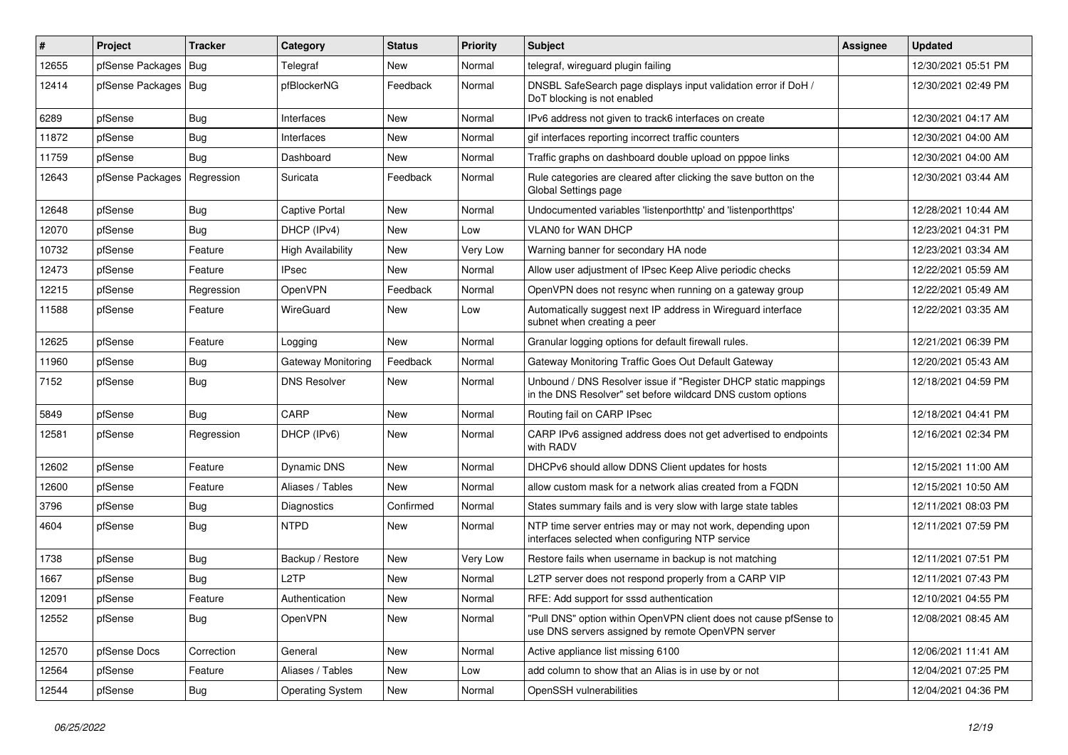| #     | Project                       | <b>Tracker</b> | Category                  | <b>Status</b> | <b>Priority</b> | Subject                                                                                                                       | <b>Assignee</b> | <b>Updated</b>      |
|-------|-------------------------------|----------------|---------------------------|---------------|-----------------|-------------------------------------------------------------------------------------------------------------------------------|-----------------|---------------------|
| 12655 | pfSense Packages              | Bug            | Telegraf                  | New           | Normal          | telegraf, wireguard plugin failing                                                                                            |                 | 12/30/2021 05:51 PM |
| 12414 | pfSense Packages   Bug        |                | pfBlockerNG               | Feedback      | Normal          | DNSBL SafeSearch page displays input validation error if DoH /<br>DoT blocking is not enabled                                 |                 | 12/30/2021 02:49 PM |
| 6289  | pfSense                       | Bug            | Interfaces                | New           | Normal          | IPv6 address not given to track6 interfaces on create                                                                         |                 | 12/30/2021 04:17 AM |
| 11872 | pfSense                       | Bug            | Interfaces                | New           | Normal          | gif interfaces reporting incorrect traffic counters                                                                           |                 | 12/30/2021 04:00 AM |
| 11759 | pfSense                       | Bug            | Dashboard                 | New           | Normal          | Traffic graphs on dashboard double upload on pppoe links                                                                      |                 | 12/30/2021 04:00 AM |
| 12643 | pfSense Packages   Regression |                | Suricata                  | Feedback      | Normal          | Rule categories are cleared after clicking the save button on the<br>Global Settings page                                     |                 | 12/30/2021 03:44 AM |
| 12648 | pfSense                       | Bug            | <b>Captive Portal</b>     | New           | Normal          | Undocumented variables 'listenporthttp' and 'listenporthttps'                                                                 |                 | 12/28/2021 10:44 AM |
| 12070 | pfSense                       | <b>Bug</b>     | DHCP (IPv4)               | New           | Low             | <b>VLAN0 for WAN DHCP</b>                                                                                                     |                 | 12/23/2021 04:31 PM |
| 10732 | pfSense                       | Feature        | <b>High Availability</b>  | New           | Very Low        | Warning banner for secondary HA node                                                                                          |                 | 12/23/2021 03:34 AM |
| 12473 | pfSense                       | Feature        | <b>IPsec</b>              | New           | Normal          | Allow user adjustment of IPsec Keep Alive periodic checks                                                                     |                 | 12/22/2021 05:59 AM |
| 12215 | pfSense                       | Regression     | OpenVPN                   | Feedback      | Normal          | OpenVPN does not resync when running on a gateway group                                                                       |                 | 12/22/2021 05:49 AM |
| 11588 | pfSense                       | Feature        | WireGuard                 | New           | Low             | Automatically suggest next IP address in Wireguard interface<br>subnet when creating a peer                                   |                 | 12/22/2021 03:35 AM |
| 12625 | pfSense                       | Feature        | Logging                   | New           | Normal          | Granular logging options for default firewall rules.                                                                          |                 | 12/21/2021 06:39 PM |
| 11960 | pfSense                       | Bug            | <b>Gateway Monitoring</b> | Feedback      | Normal          | Gateway Monitoring Traffic Goes Out Default Gateway                                                                           |                 | 12/20/2021 05:43 AM |
| 7152  | pfSense                       | Bug            | <b>DNS Resolver</b>       | New           | Normal          | Unbound / DNS Resolver issue if "Register DHCP static mappings<br>in the DNS Resolver" set before wildcard DNS custom options |                 | 12/18/2021 04:59 PM |
| 5849  | pfSense                       | Bug            | CARP                      | New           | Normal          | Routing fail on CARP IPsec                                                                                                    |                 | 12/18/2021 04:41 PM |
| 12581 | pfSense                       | Regression     | DHCP (IPv6)               | <b>New</b>    | Normal          | CARP IPv6 assigned address does not get advertised to endpoints<br>with RADV                                                  |                 | 12/16/2021 02:34 PM |
| 12602 | pfSense                       | Feature        | <b>Dynamic DNS</b>        | New           | Normal          | DHCPv6 should allow DDNS Client updates for hosts                                                                             |                 | 12/15/2021 11:00 AM |
| 12600 | pfSense                       | Feature        | Aliases / Tables          | <b>New</b>    | Normal          | allow custom mask for a network alias created from a FQDN                                                                     |                 | 12/15/2021 10:50 AM |
| 3796  | pfSense                       | <b>Bug</b>     | Diagnostics               | Confirmed     | Normal          | States summary fails and is very slow with large state tables                                                                 |                 | 12/11/2021 08:03 PM |
| 4604  | pfSense                       | <b>Bug</b>     | <b>NTPD</b>               | New           | Normal          | NTP time server entries may or may not work, depending upon<br>interfaces selected when configuring NTP service               |                 | 12/11/2021 07:59 PM |
| 1738  | pfSense                       | <b>Bug</b>     | Backup / Restore          | New           | Very Low        | Restore fails when username in backup is not matching                                                                         |                 | 12/11/2021 07:51 PM |
| 1667  | pfSense                       | <b>Bug</b>     | L <sub>2</sub> TP         | <b>New</b>    | Normal          | L2TP server does not respond properly from a CARP VIP                                                                         |                 | 12/11/2021 07:43 PM |
| 12091 | pfSense                       | Feature        | Authentication            | New           | Normal          | RFE: Add support for sssd authentication                                                                                      |                 | 12/10/2021 04:55 PM |
| 12552 | pfSense                       | <b>Bug</b>     | OpenVPN                   | New           | Normal          | "Pull DNS" option within OpenVPN client does not cause pfSense to<br>use DNS servers assigned by remote OpenVPN server        |                 | 12/08/2021 08:45 AM |
| 12570 | pfSense Docs                  | Correction     | General                   | New           | Normal          | Active appliance list missing 6100                                                                                            |                 | 12/06/2021 11:41 AM |
| 12564 | pfSense                       | Feature        | Aliases / Tables          | New           | Low             | add column to show that an Alias is in use by or not                                                                          |                 | 12/04/2021 07:25 PM |
| 12544 | pfSense                       | <b>Bug</b>     | <b>Operating System</b>   | New           | Normal          | OpenSSH vulnerabilities                                                                                                       |                 | 12/04/2021 04:36 PM |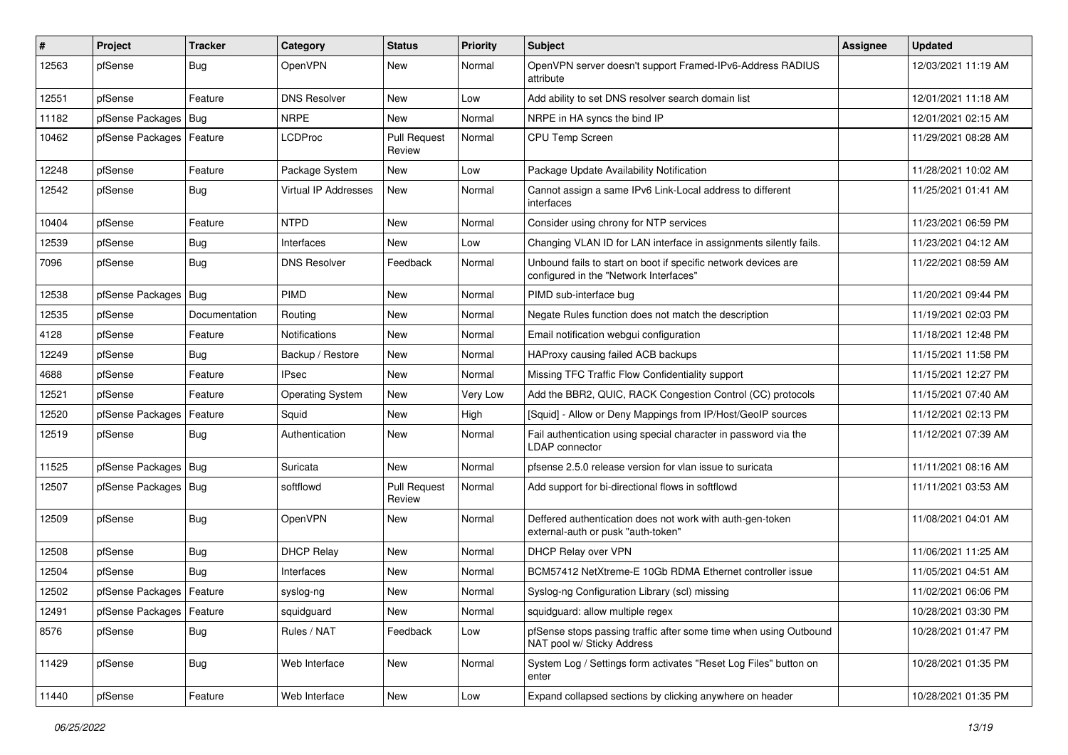| $\vert$ # | Project                    | <b>Tracker</b> | Category                | <b>Status</b>                 | <b>Priority</b> | <b>Subject</b>                                                                                           | <b>Assignee</b> | <b>Updated</b>      |
|-----------|----------------------------|----------------|-------------------------|-------------------------------|-----------------|----------------------------------------------------------------------------------------------------------|-----------------|---------------------|
| 12563     | pfSense                    | <b>Bug</b>     | OpenVPN                 | New                           | Normal          | OpenVPN server doesn't support Framed-IPv6-Address RADIUS<br>attribute                                   |                 | 12/03/2021 11:19 AM |
| 12551     | pfSense                    | Feature        | <b>DNS Resolver</b>     | New                           | Low             | Add ability to set DNS resolver search domain list                                                       |                 | 12/01/2021 11:18 AM |
| 11182     | pfSense Packages   Bug     |                | <b>NRPE</b>             | <b>New</b>                    | Normal          | NRPE in HA syncs the bind IP                                                                             |                 | 12/01/2021 02:15 AM |
| 10462     | pfSense Packages   Feature |                | <b>LCDProc</b>          | <b>Pull Request</b><br>Review | Normal          | CPU Temp Screen                                                                                          |                 | 11/29/2021 08:28 AM |
| 12248     | pfSense                    | Feature        | Package System          | New                           | Low             | Package Update Availability Notification                                                                 |                 | 11/28/2021 10:02 AM |
| 12542     | pfSense                    | Bug            | Virtual IP Addresses    | New                           | Normal          | Cannot assign a same IPv6 Link-Local address to different<br>interfaces                                  |                 | 11/25/2021 01:41 AM |
| 10404     | pfSense                    | Feature        | <b>NTPD</b>             | <b>New</b>                    | Normal          | Consider using chrony for NTP services                                                                   |                 | 11/23/2021 06:59 PM |
| 12539     | pfSense                    | Bug            | Interfaces              | New                           | Low             | Changing VLAN ID for LAN interface in assignments silently fails.                                        |                 | 11/23/2021 04:12 AM |
| 7096      | pfSense                    | Bug            | <b>DNS Resolver</b>     | Feedback                      | Normal          | Unbound fails to start on boot if specific network devices are<br>configured in the "Network Interfaces" |                 | 11/22/2021 08:59 AM |
| 12538     | pfSense Packages   Bug     |                | PIMD                    | <b>New</b>                    | Normal          | PIMD sub-interface bug                                                                                   |                 | 11/20/2021 09:44 PM |
| 12535     | pfSense                    | Documentation  | Routing                 | New                           | Normal          | Negate Rules function does not match the description                                                     |                 | 11/19/2021 02:03 PM |
| 4128      | pfSense                    | Feature        | Notifications           | <b>New</b>                    | Normal          | Email notification webgui configuration                                                                  |                 | 11/18/2021 12:48 PM |
| 12249     | pfSense                    | Bug            | Backup / Restore        | New                           | Normal          | HAProxy causing failed ACB backups                                                                       |                 | 11/15/2021 11:58 PM |
| 4688      | pfSense                    | Feature        | <b>IPsec</b>            | <b>New</b>                    | Normal          | Missing TFC Traffic Flow Confidentiality support                                                         |                 | 11/15/2021 12:27 PM |
| 12521     | pfSense                    | Feature        | <b>Operating System</b> | New                           | Very Low        | Add the BBR2, QUIC, RACK Congestion Control (CC) protocols                                               |                 | 11/15/2021 07:40 AM |
| 12520     | pfSense Packages           | Feature        | Squid                   | <b>New</b>                    | High            | [Squid] - Allow or Deny Mappings from IP/Host/GeoIP sources                                              |                 | 11/12/2021 02:13 PM |
| 12519     | pfSense                    | Bug            | Authentication          | <b>New</b>                    | Normal          | Fail authentication using special character in password via the<br><b>LDAP</b> connector                 |                 | 11/12/2021 07:39 AM |
| 11525     | pfSense Packages   Bug     |                | Suricata                | <b>New</b>                    | Normal          | pfsense 2.5.0 release version for vlan issue to suricata                                                 |                 | 11/11/2021 08:16 AM |
| 12507     | pfSense Packages   Bug     |                | softflowd               | <b>Pull Request</b><br>Review | Normal          | Add support for bi-directional flows in softflowd                                                        |                 | 11/11/2021 03:53 AM |
| 12509     | pfSense                    | Bug            | OpenVPN                 | <b>New</b>                    | Normal          | Deffered authentication does not work with auth-gen-token<br>external-auth or pusk "auth-token"          |                 | 11/08/2021 04:01 AM |
| 12508     | pfSense                    | Bug            | <b>DHCP Relay</b>       | <b>New</b>                    | Normal          | DHCP Relay over VPN                                                                                      |                 | 11/06/2021 11:25 AM |
| 12504     | pfSense                    | Bug            | Interfaces              | <b>New</b>                    | Normal          | BCM57412 NetXtreme-E 10Gb RDMA Ethernet controller issue                                                 |                 | 11/05/2021 04:51 AM |
| 12502     | pfSense Packages   Feature |                | syslog-ng               | New                           | Normal          | Syslog-ng Configuration Library (scl) missing                                                            |                 | 11/02/2021 06:06 PM |
| 12491     | pfSense Packages   Feature |                | squidguard              | New                           | Normal          | squidguard: allow multiple regex                                                                         |                 | 10/28/2021 03:30 PM |
| 8576      | pfSense                    | Bug            | Rules / NAT             | Feedback                      | Low             | pfSense stops passing traffic after some time when using Outbound<br>NAT pool w/ Sticky Address          |                 | 10/28/2021 01:47 PM |
| 11429     | pfSense                    | Bug            | Web Interface           | New                           | Normal          | System Log / Settings form activates "Reset Log Files" button on<br>enter                                |                 | 10/28/2021 01:35 PM |
| 11440     | pfSense                    | Feature        | Web Interface           | New                           | Low             | Expand collapsed sections by clicking anywhere on header                                                 |                 | 10/28/2021 01:35 PM |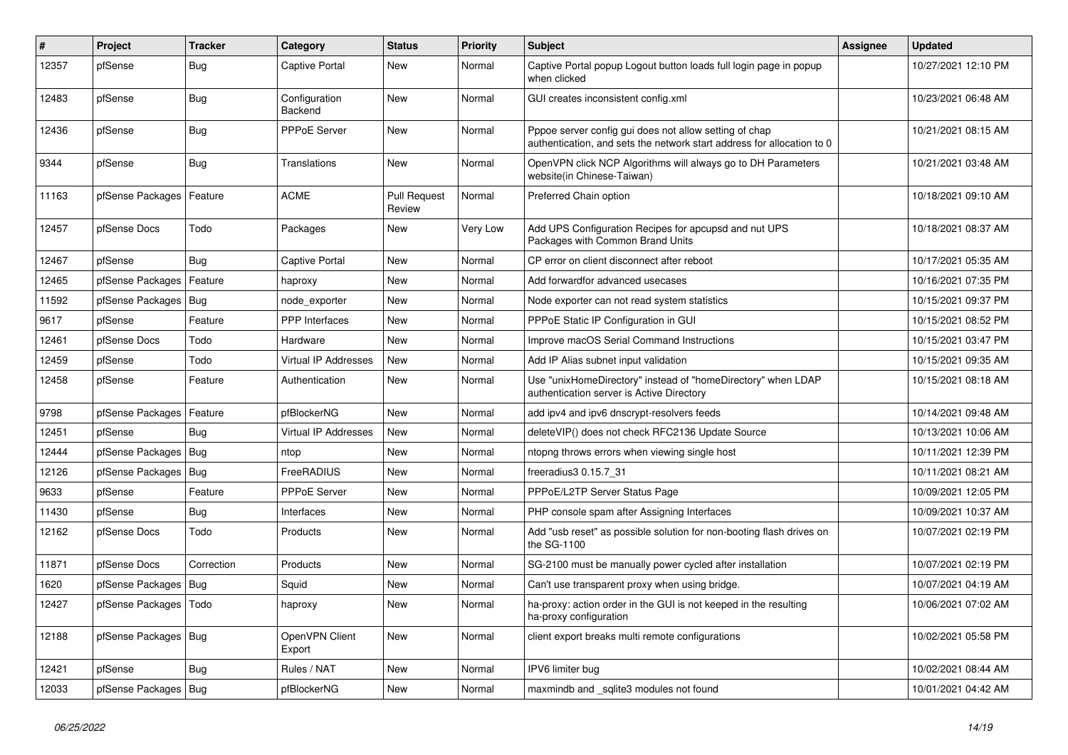| #     | Project                    | <b>Tracker</b> | Category                    | <b>Status</b>                 | <b>Priority</b> | <b>Subject</b>                                                                                                                   | <b>Assignee</b> | <b>Updated</b>      |
|-------|----------------------------|----------------|-----------------------------|-------------------------------|-----------------|----------------------------------------------------------------------------------------------------------------------------------|-----------------|---------------------|
| 12357 | pfSense                    | Bug            | <b>Captive Portal</b>       | <b>New</b>                    | Normal          | Captive Portal popup Logout button loads full login page in popup<br>when clicked                                                |                 | 10/27/2021 12:10 PM |
| 12483 | pfSense                    | Bug            | Configuration<br>Backend    | <b>New</b>                    | Normal          | GUI creates inconsistent config.xml                                                                                              |                 | 10/23/2021 06:48 AM |
| 12436 | pfSense                    | <b>Bug</b>     | <b>PPPoE Server</b>         | <b>New</b>                    | Normal          | Pppoe server config gui does not allow setting of chap<br>authentication, and sets the network start address for allocation to 0 |                 | 10/21/2021 08:15 AM |
| 9344  | pfSense                    | Bug            | Translations                | New                           | Normal          | OpenVPN click NCP Algorithms will always go to DH Parameters<br>website(in Chinese-Taiwan)                                       |                 | 10/21/2021 03:48 AM |
| 11163 | pfSense Packages   Feature |                | <b>ACME</b>                 | <b>Pull Request</b><br>Review | Normal          | Preferred Chain option                                                                                                           |                 | 10/18/2021 09:10 AM |
| 12457 | pfSense Docs               | Todo           | Packages                    | <b>New</b>                    | Very Low        | Add UPS Configuration Recipes for apcupsd and nut UPS<br>Packages with Common Brand Units                                        |                 | 10/18/2021 08:37 AM |
| 12467 | pfSense                    | Bug            | Captive Portal              | New                           | Normal          | CP error on client disconnect after reboot                                                                                       |                 | 10/17/2021 05:35 AM |
| 12465 | pfSense Packages   Feature |                | haproxy                     | <b>New</b>                    | Normal          | Add forwardfor advanced usecases                                                                                                 |                 | 10/16/2021 07:35 PM |
| 11592 | pfSense Packages   Bug     |                | node exporter               | New                           | Normal          | Node exporter can not read system statistics                                                                                     |                 | 10/15/2021 09:37 PM |
| 9617  | pfSense                    | Feature        | <b>PPP</b> Interfaces       | New                           | Normal          | PPPoE Static IP Configuration in GUI                                                                                             |                 | 10/15/2021 08:52 PM |
| 12461 | pfSense Docs               | Todo           | Hardware                    | <b>New</b>                    | Normal          | Improve macOS Serial Command Instructions                                                                                        |                 | 10/15/2021 03:47 PM |
| 12459 | pfSense                    | Todo           | Virtual IP Addresses        | <b>New</b>                    | Normal          | Add IP Alias subnet input validation                                                                                             |                 | 10/15/2021 09:35 AM |
| 12458 | pfSense                    | Feature        | Authentication              | New                           | Normal          | Use "unixHomeDirectory" instead of "homeDirectory" when LDAP<br>authentication server is Active Directory                        |                 | 10/15/2021 08:18 AM |
| 9798  | pfSense Packages           | Feature        | pfBlockerNG                 | <b>New</b>                    | Normal          | add ipv4 and ipv6 dnscrypt-resolvers feeds                                                                                       |                 | 10/14/2021 09:48 AM |
| 12451 | pfSense                    | Bug            | <b>Virtual IP Addresses</b> | <b>New</b>                    | Normal          | deleteVIP() does not check RFC2136 Update Source                                                                                 |                 | 10/13/2021 10:06 AM |
| 12444 | pfSense Packages           | Bug            | ntop                        | <b>New</b>                    | Normal          | ntopng throws errors when viewing single host                                                                                    |                 | 10/11/2021 12:39 PM |
| 12126 | pfSense Packages           | Bug            | FreeRADIUS                  | New                           | Normal          | freeradius3 0.15.7 31                                                                                                            |                 | 10/11/2021 08:21 AM |
| 9633  | pfSense                    | Feature        | PPPoE Server                | New                           | Normal          | PPPoE/L2TP Server Status Page                                                                                                    |                 | 10/09/2021 12:05 PM |
| 11430 | pfSense                    | <b>Bug</b>     | Interfaces                  | New                           | Normal          | PHP console spam after Assigning Interfaces                                                                                      |                 | 10/09/2021 10:37 AM |
| 12162 | pfSense Docs               | Todo           | Products                    | New                           | Normal          | Add "usb reset" as possible solution for non-booting flash drives on<br>the SG-1100                                              |                 | 10/07/2021 02:19 PM |
| 11871 | pfSense Docs               | Correction     | Products                    | <b>New</b>                    | Normal          | SG-2100 must be manually power cycled after installation                                                                         |                 | 10/07/2021 02:19 PM |
| 1620  | pfSense Packages   Bug     |                | Squid                       | <b>New</b>                    | Normal          | Can't use transparent proxy when using bridge.                                                                                   |                 | 10/07/2021 04:19 AM |
| 12427 | pfSense Packages           | Todo           | haproxy                     | <b>New</b>                    | Normal          | ha-proxy: action order in the GUI is not keeped in the resulting<br>ha-proxy configuration                                       |                 | 10/06/2021 07:02 AM |
| 12188 | pfSense Packages   Bug     |                | OpenVPN Client<br>Export    | <b>New</b>                    | Normal          | client export breaks multi remote configurations                                                                                 |                 | 10/02/2021 05:58 PM |
| 12421 | pfSense                    | Bug            | Rules / NAT                 | New                           | Normal          | IPV6 limiter bug                                                                                                                 |                 | 10/02/2021 08:44 AM |
| 12033 | pfSense Packages   Bug     |                | pfBlockerNG                 | <b>New</b>                    | Normal          | maxmindb and sqlite3 modules not found                                                                                           |                 | 10/01/2021 04:42 AM |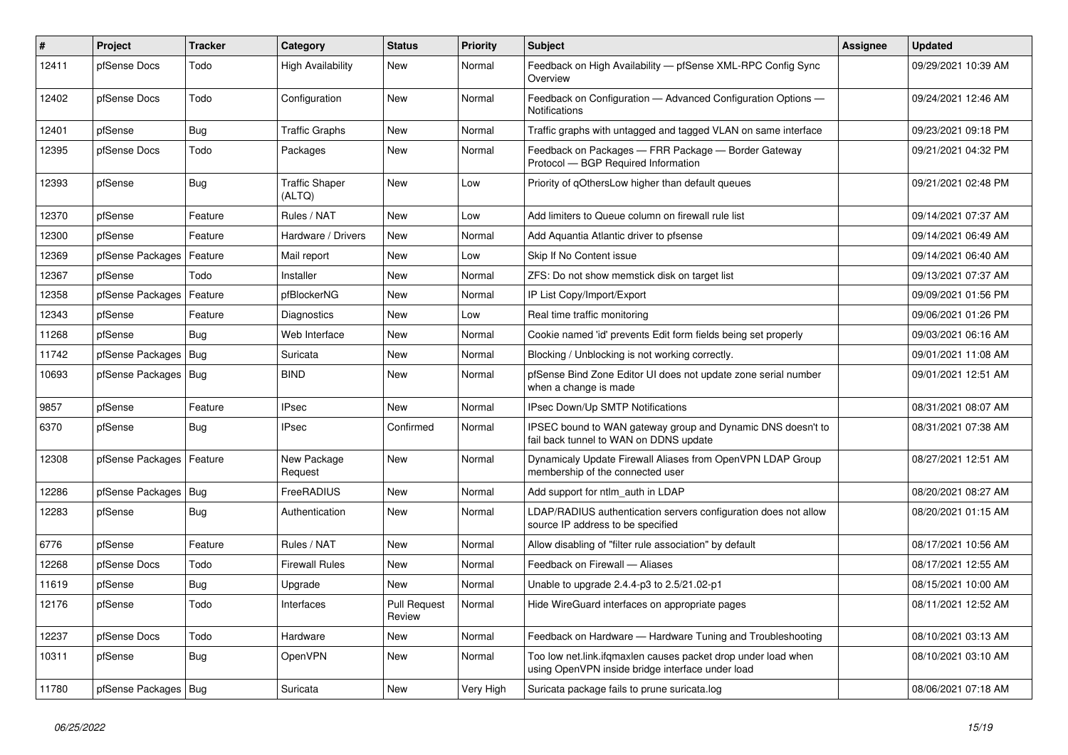| #     | <b>Project</b>             | <b>Tracker</b> | Category                        | <b>Status</b>          | <b>Priority</b> | <b>Subject</b>                                                                                                    | Assignee | <b>Updated</b>      |
|-------|----------------------------|----------------|---------------------------------|------------------------|-----------------|-------------------------------------------------------------------------------------------------------------------|----------|---------------------|
| 12411 | pfSense Docs               | Todo           | <b>High Availability</b>        | New                    | Normal          | Feedback on High Availability - pfSense XML-RPC Config Sync<br>Overview                                           |          | 09/29/2021 10:39 AM |
| 12402 | pfSense Docs               | Todo           | Configuration                   | New                    | Normal          | Feedback on Configuration - Advanced Configuration Options -<br><b>Notifications</b>                              |          | 09/24/2021 12:46 AM |
| 12401 | pfSense                    | Bug            | <b>Traffic Graphs</b>           | <b>New</b>             | Normal          | Traffic graphs with untagged and tagged VLAN on same interface                                                    |          | 09/23/2021 09:18 PM |
| 12395 | pfSense Docs               | Todo           | Packages                        | New                    | Normal          | Feedback on Packages - FRR Package - Border Gateway<br>Protocol - BGP Required Information                        |          | 09/21/2021 04:32 PM |
| 12393 | pfSense                    | Bug            | <b>Traffic Shaper</b><br>(ALTQ) | <b>New</b>             | Low             | Priority of gOthersLow higher than default queues                                                                 |          | 09/21/2021 02:48 PM |
| 12370 | pfSense                    | Feature        | Rules / NAT                     | New                    | Low             | Add limiters to Queue column on firewall rule list                                                                |          | 09/14/2021 07:37 AM |
| 12300 | pfSense                    | Feature        | Hardware / Drivers              | New                    | Normal          | Add Aquantia Atlantic driver to pfsense                                                                           |          | 09/14/2021 06:49 AM |
| 12369 | pfSense Packages   Feature |                | Mail report                     | New                    | Low             | Skip If No Content issue                                                                                          |          | 09/14/2021 06:40 AM |
| 12367 | pfSense                    | Todo           | Installer                       | New                    | Normal          | ZFS: Do not show memstick disk on target list                                                                     |          | 09/13/2021 07:37 AM |
| 12358 | pfSense Packages           | Feature        | pfBlockerNG                     | New                    | Normal          | IP List Copy/Import/Export                                                                                        |          | 09/09/2021 01:56 PM |
| 12343 | pfSense                    | Feature        | Diagnostics                     | New                    | Low             | Real time traffic monitoring                                                                                      |          | 09/06/2021 01:26 PM |
| 11268 | pfSense                    | Bug            | Web Interface                   | New                    | Normal          | Cookie named 'id' prevents Edit form fields being set properly                                                    |          | 09/03/2021 06:16 AM |
| 11742 | pfSense Packages           | Bug            | Suricata                        | New                    | Normal          | Blocking / Unblocking is not working correctly.                                                                   |          | 09/01/2021 11:08 AM |
| 10693 | pfSense Packages   Bug     |                | <b>BIND</b>                     | New                    | Normal          | pfSense Bind Zone Editor UI does not update zone serial number<br>when a change is made                           |          | 09/01/2021 12:51 AM |
| 9857  | pfSense                    | Feature        | <b>IPsec</b>                    | New                    | Normal          | IPsec Down/Up SMTP Notifications                                                                                  |          | 08/31/2021 08:07 AM |
| 6370  | pfSense                    | Bug            | <b>IPsec</b>                    | Confirmed              | Normal          | IPSEC bound to WAN gateway group and Dynamic DNS doesn't to<br>fail back tunnel to WAN on DDNS update             |          | 08/31/2021 07:38 AM |
| 12308 | pfSense Packages   Feature |                | New Package<br>Request          | New                    | Normal          | Dynamicaly Update Firewall Aliases from OpenVPN LDAP Group<br>membership of the connected user                    |          | 08/27/2021 12:51 AM |
| 12286 | pfSense Packages           | Bug            | FreeRADIUS                      | New                    | Normal          | Add support for ntlm auth in LDAP                                                                                 |          | 08/20/2021 08:27 AM |
| 12283 | pfSense                    | <b>Bug</b>     | Authentication                  | New                    | Normal          | LDAP/RADIUS authentication servers configuration does not allow<br>source IP address to be specified              |          | 08/20/2021 01:15 AM |
| 6776  | pfSense                    | Feature        | Rules / NAT                     | New                    | Normal          | Allow disabling of "filter rule association" by default                                                           |          | 08/17/2021 10:56 AM |
| 12268 | pfSense Docs               | Todo           | <b>Firewall Rules</b>           | New                    | Normal          | Feedback on Firewall - Aliases                                                                                    |          | 08/17/2021 12:55 AM |
| 11619 | pfSense                    | <b>Bug</b>     | Upgrade                         | New                    | Normal          | Unable to upgrade 2.4.4-p3 to 2.5/21.02-p1                                                                        |          | 08/15/2021 10:00 AM |
| 12176 | pfSense                    | Todo           | Interfaces                      | Pull Request<br>Review | Normal          | Hide WireGuard interfaces on appropriate pages                                                                    |          | 08/11/2021 12:52 AM |
| 12237 | pfSense Docs               | Todo           | Hardware                        | New                    | Normal          | Feedback on Hardware - Hardware Tuning and Troubleshooting                                                        |          | 08/10/2021 03:13 AM |
| 10311 | pfSense                    | <b>Bug</b>     | OpenVPN                         | New                    | Normal          | Too low net.link.ifqmaxlen causes packet drop under load when<br>using OpenVPN inside bridge interface under load |          | 08/10/2021 03:10 AM |
| 11780 | pfSense Packages   Bug     |                | Suricata                        | New                    | Very High       | Suricata package fails to prune suricata.log                                                                      |          | 08/06/2021 07:18 AM |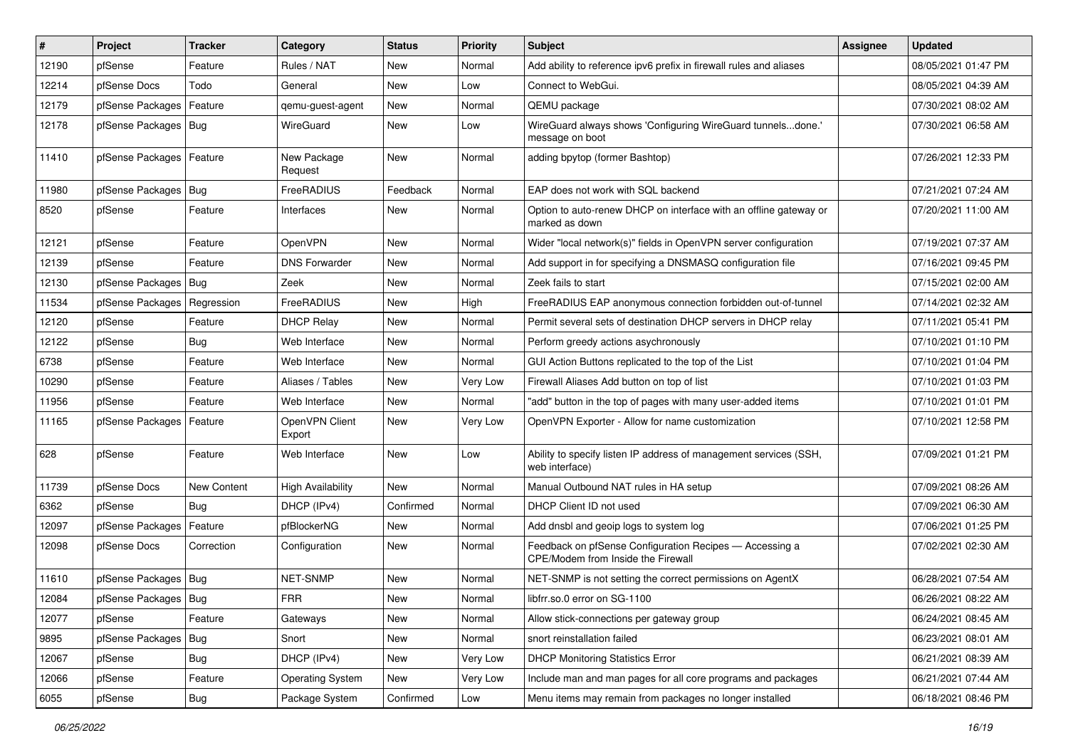| ∦     | Project                    | <b>Tracker</b> | Category                 | <b>Status</b> | <b>Priority</b> | <b>Subject</b>                                                                                | <b>Assignee</b> | <b>Updated</b>      |
|-------|----------------------------|----------------|--------------------------|---------------|-----------------|-----------------------------------------------------------------------------------------------|-----------------|---------------------|
| 12190 | pfSense                    | Feature        | Rules / NAT              | New           | Normal          | Add ability to reference ipv6 prefix in firewall rules and aliases                            |                 | 08/05/2021 01:47 PM |
| 12214 | pfSense Docs               | Todo           | General                  | New           | Low             | Connect to WebGui.                                                                            |                 | 08/05/2021 04:39 AM |
| 12179 | pfSense Packages           | Feature        | gemu-guest-agent         | New           | Normal          | QEMU package                                                                                  |                 | 07/30/2021 08:02 AM |
| 12178 | pfSense Packages   Bug     |                | WireGuard                | New           | Low             | WireGuard always shows 'Configuring WireGuard tunnelsdone.'<br>message on boot                |                 | 07/30/2021 06:58 AM |
| 11410 | pfSense Packages   Feature |                | New Package<br>Request   | New           | Normal          | adding bpytop (former Bashtop)                                                                |                 | 07/26/2021 12:33 PM |
| 11980 | pfSense Packages           | Bug            | FreeRADIUS               | Feedback      | Normal          | EAP does not work with SQL backend                                                            |                 | 07/21/2021 07:24 AM |
| 8520  | pfSense                    | Feature        | Interfaces               | New           | Normal          | Option to auto-renew DHCP on interface with an offline gateway or<br>marked as down           |                 | 07/20/2021 11:00 AM |
| 12121 | pfSense                    | Feature        | OpenVPN                  | <b>New</b>    | Normal          | Wider "local network(s)" fields in OpenVPN server configuration                               |                 | 07/19/2021 07:37 AM |
| 12139 | pfSense                    | Feature        | <b>DNS Forwarder</b>     | New           | Normal          | Add support in for specifying a DNSMASQ configuration file                                    |                 | 07/16/2021 09:45 PM |
| 12130 | pfSense Packages   Bug     |                | Zeek                     | <b>New</b>    | Normal          | Zeek fails to start                                                                           |                 | 07/15/2021 02:00 AM |
| 11534 | pfSense Packages           | Regression     | FreeRADIUS               | New           | High            | FreeRADIUS EAP anonymous connection forbidden out-of-tunnel                                   |                 | 07/14/2021 02:32 AM |
| 12120 | pfSense                    | Feature        | <b>DHCP Relay</b>        | New           | Normal          | Permit several sets of destination DHCP servers in DHCP relay                                 |                 | 07/11/2021 05:41 PM |
| 12122 | pfSense                    | Bug            | Web Interface            | <b>New</b>    | Normal          | Perform greedy actions asychronously                                                          |                 | 07/10/2021 01:10 PM |
| 6738  | pfSense                    | Feature        | Web Interface            | New           | Normal          | GUI Action Buttons replicated to the top of the List                                          |                 | 07/10/2021 01:04 PM |
| 10290 | pfSense                    | Feature        | Aliases / Tables         | <b>New</b>    | Very Low        | Firewall Aliases Add button on top of list                                                    |                 | 07/10/2021 01:03 PM |
| 11956 | pfSense                    | Feature        | Web Interface            | New           | Normal          | "add" button in the top of pages with many user-added items                                   |                 | 07/10/2021 01:01 PM |
| 11165 | pfSense Packages   Feature |                | OpenVPN Client<br>Export | New           | Very Low        | OpenVPN Exporter - Allow for name customization                                               |                 | 07/10/2021 12:58 PM |
| 628   | pfSense                    | Feature        | Web Interface            | New           | Low             | Ability to specify listen IP address of management services (SSH,<br>web interface)           |                 | 07/09/2021 01:21 PM |
| 11739 | pfSense Docs               | New Content    | <b>High Availability</b> | New           | Normal          | Manual Outbound NAT rules in HA setup                                                         |                 | 07/09/2021 08:26 AM |
| 6362  | pfSense                    | Bug            | DHCP (IPv4)              | Confirmed     | Normal          | DHCP Client ID not used                                                                       |                 | 07/09/2021 06:30 AM |
| 12097 | pfSense Packages           | Feature        | pfBlockerNG              | New           | Normal          | Add dnsbl and geoip logs to system log                                                        |                 | 07/06/2021 01:25 PM |
| 12098 | pfSense Docs               | Correction     | Configuration            | New           | Normal          | Feedback on pfSense Configuration Recipes - Accessing a<br>CPE/Modem from Inside the Firewall |                 | 07/02/2021 02:30 AM |
| 11610 | pfSense Packages   Bug     |                | NET-SNMP                 | New           | Normal          | NET-SNMP is not setting the correct permissions on AgentX                                     |                 | 06/28/2021 07:54 AM |
| 12084 | pfSense Packages   Bug     |                | <b>FRR</b>               | New           | Normal          | libfrr.so.0 error on SG-1100                                                                  |                 | 06/26/2021 08:22 AM |
| 12077 | pfSense                    | Feature        | Gateways                 | New           | Normal          | Allow stick-connections per gateway group                                                     |                 | 06/24/2021 08:45 AM |
| 9895  | pfSense Packages           | Bug            | Snort                    | New           | Normal          | snort reinstallation failed                                                                   |                 | 06/23/2021 08:01 AM |
| 12067 | pfSense                    | Bug            | DHCP (IPv4)              | New           | Very Low        | <b>DHCP Monitoring Statistics Error</b>                                                       |                 | 06/21/2021 08:39 AM |
| 12066 | pfSense                    | Feature        | <b>Operating System</b>  | New           | Very Low        | Include man and man pages for all core programs and packages                                  |                 | 06/21/2021 07:44 AM |
| 6055  | pfSense                    | Bug            | Package System           | Confirmed     | Low             | Menu items may remain from packages no longer installed                                       |                 | 06/18/2021 08:46 PM |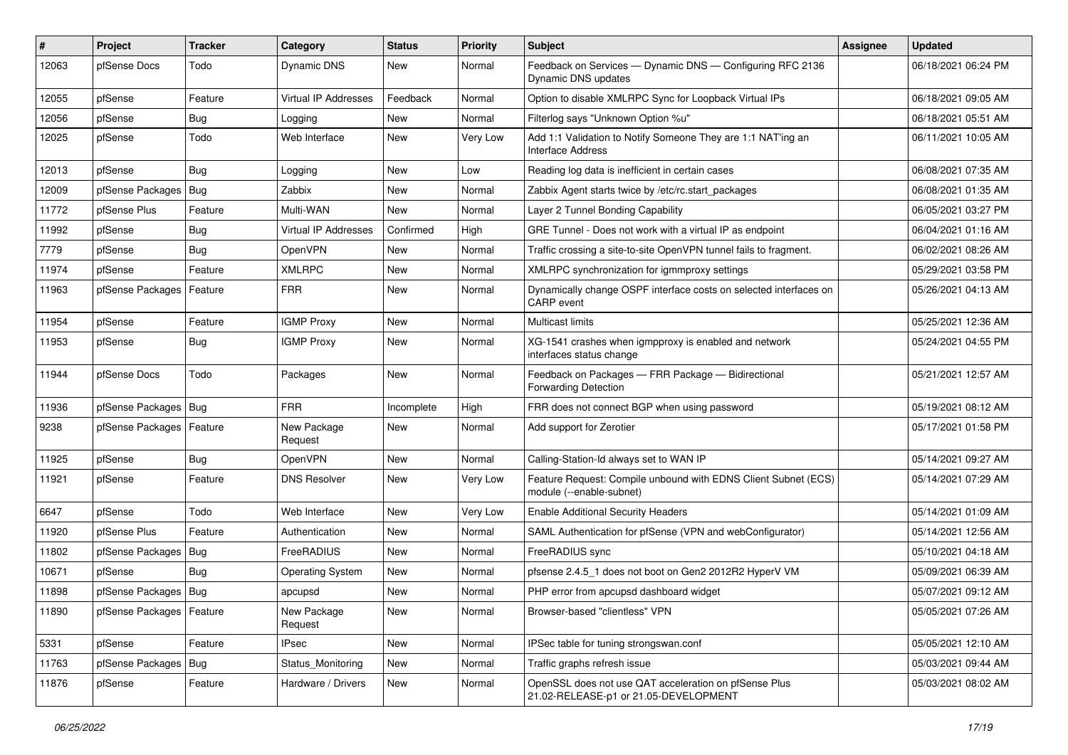| #     | <b>Project</b>             | <b>Tracker</b> | Category                | <b>Status</b> | <b>Priority</b> | <b>Subject</b>                                                                                 | Assignee | <b>Updated</b>      |
|-------|----------------------------|----------------|-------------------------|---------------|-----------------|------------------------------------------------------------------------------------------------|----------|---------------------|
| 12063 | pfSense Docs               | Todo           | Dynamic DNS             | New           | Normal          | Feedback on Services - Dynamic DNS - Configuring RFC 2136<br>Dynamic DNS updates               |          | 06/18/2021 06:24 PM |
| 12055 | pfSense                    | Feature        | Virtual IP Addresses    | Feedback      | Normal          | Option to disable XMLRPC Sync for Loopback Virtual IPs                                         |          | 06/18/2021 09:05 AM |
| 12056 | pfSense                    | <b>Bug</b>     | Logging                 | New           | Normal          | Filterlog says "Unknown Option %u"                                                             |          | 06/18/2021 05:51 AM |
| 12025 | pfSense                    | Todo           | Web Interface           | <b>New</b>    | Very Low        | Add 1:1 Validation to Notify Someone They are 1:1 NAT'ing an<br>Interface Address              |          | 06/11/2021 10:05 AM |
| 12013 | pfSense                    | Bug            | Logging                 | New           | Low             | Reading log data is inefficient in certain cases                                               |          | 06/08/2021 07:35 AM |
| 12009 | pfSense Packages           | Bug            | Zabbix                  | New           | Normal          | Zabbix Agent starts twice by /etc/rc.start packages                                            |          | 06/08/2021 01:35 AM |
| 11772 | pfSense Plus               | Feature        | Multi-WAN               | New           | Normal          | Layer 2 Tunnel Bonding Capability                                                              |          | 06/05/2021 03:27 PM |
| 11992 | pfSense                    | Bug            | Virtual IP Addresses    | Confirmed     | High            | GRE Tunnel - Does not work with a virtual IP as endpoint                                       |          | 06/04/2021 01:16 AM |
| 7779  | pfSense                    | <b>Bug</b>     | OpenVPN                 | New           | Normal          | Traffic crossing a site-to-site OpenVPN tunnel fails to fragment.                              |          | 06/02/2021 08:26 AM |
| 11974 | pfSense                    | Feature        | <b>XMLRPC</b>           | New           | Normal          | XMLRPC synchronization for igmmproxy settings                                                  |          | 05/29/2021 03:58 PM |
| 11963 | pfSense Packages           | Feature        | <b>FRR</b>              | <b>New</b>    | Normal          | Dynamically change OSPF interface costs on selected interfaces on<br><b>CARP</b> event         |          | 05/26/2021 04:13 AM |
| 11954 | pfSense                    | Feature        | <b>IGMP Proxy</b>       | New           | Normal          | <b>Multicast limits</b>                                                                        |          | 05/25/2021 12:36 AM |
| 11953 | pfSense                    | Bug            | <b>IGMP Proxy</b>       | New           | Normal          | XG-1541 crashes when igmpproxy is enabled and network<br>interfaces status change              |          | 05/24/2021 04:55 PM |
| 11944 | pfSense Docs               | Todo           | Packages                | <b>New</b>    | Normal          | Feedback on Packages - FRR Package - Bidirectional<br><b>Forwarding Detection</b>              |          | 05/21/2021 12:57 AM |
| 11936 | pfSense Packages   Bug     |                | <b>FRR</b>              | Incomplete    | High            | FRR does not connect BGP when using password                                                   |          | 05/19/2021 08:12 AM |
| 9238  | pfSense Packages   Feature |                | New Package<br>Request  | New           | Normal          | Add support for Zerotier                                                                       |          | 05/17/2021 01:58 PM |
| 11925 | pfSense                    | Bug            | OpenVPN                 | New           | Normal          | Calling-Station-Id always set to WAN IP                                                        |          | 05/14/2021 09:27 AM |
| 11921 | pfSense                    | Feature        | <b>DNS Resolver</b>     | New           | Very Low        | Feature Request: Compile unbound with EDNS Client Subnet (ECS)<br>module (--enable-subnet)     |          | 05/14/2021 07:29 AM |
| 6647  | pfSense                    | Todo           | Web Interface           | <b>New</b>    | Very Low        | <b>Enable Additional Security Headers</b>                                                      |          | 05/14/2021 01:09 AM |
| 11920 | pfSense Plus               | Feature        | Authentication          | New           | Normal          | SAML Authentication for pfSense (VPN and webConfigurator)                                      |          | 05/14/2021 12:56 AM |
| 11802 | pfSense Packages           | <b>Bug</b>     | FreeRADIUS              | New           | Normal          | FreeRADIUS sync                                                                                |          | 05/10/2021 04:18 AM |
| 10671 | pfSense                    | Bug            | <b>Operating System</b> | New           | Normal          | pfsense 2.4.5_1 does not boot on Gen2 2012R2 HyperV VM                                         |          | 05/09/2021 06:39 AM |
| 11898 | pfSense Packages   Bug     |                | apcupsd                 | New           | Normal          | PHP error from apcupsd dashboard widget                                                        |          | 05/07/2021 09:12 AM |
| 11890 | pfSense Packages   Feature |                | New Package<br>Request  | New           | Normal          | Browser-based "clientless" VPN                                                                 |          | 05/05/2021 07:26 AM |
| 5331  | pfSense                    | Feature        | <b>IPsec</b>            | New           | Normal          | IPSec table for tuning strongswan.conf                                                         |          | 05/05/2021 12:10 AM |
| 11763 | pfSense Packages           | Bug            | Status_Monitoring       | New           | Normal          | Traffic graphs refresh issue                                                                   |          | 05/03/2021 09:44 AM |
| 11876 | pfSense                    | Feature        | Hardware / Drivers      | New           | Normal          | OpenSSL does not use QAT acceleration on pfSense Plus<br>21.02-RELEASE-p1 or 21.05-DEVELOPMENT |          | 05/03/2021 08:02 AM |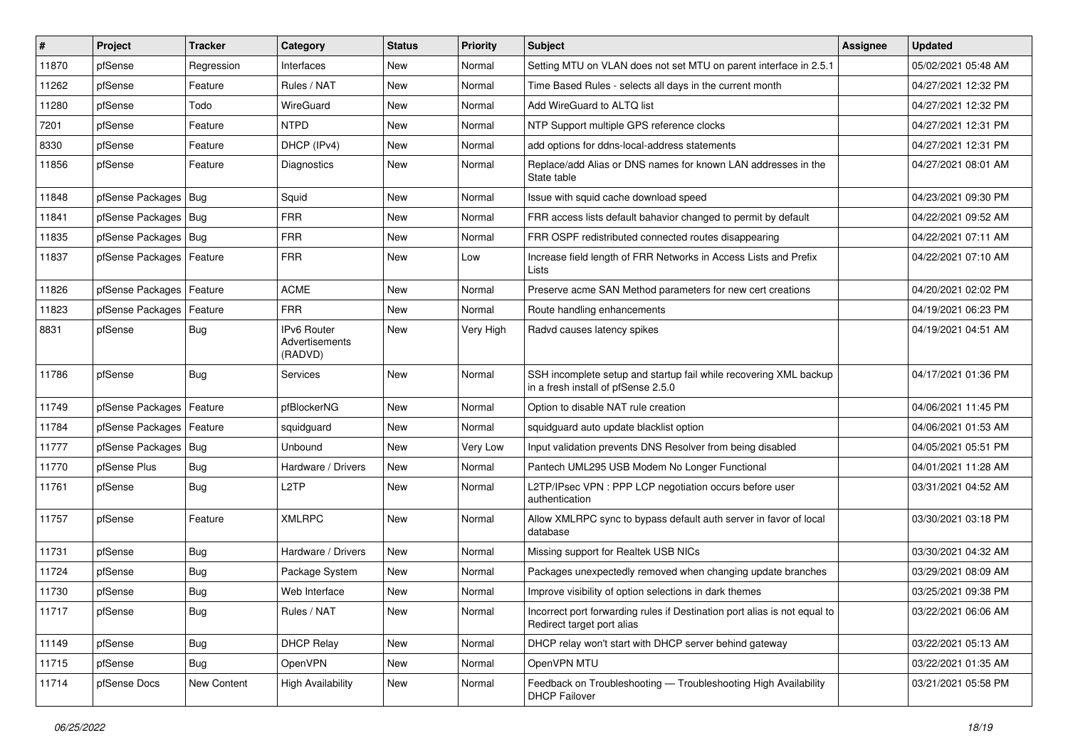| $\vert$ # | Project                | <b>Tracker</b> | Category                                 | <b>Status</b> | <b>Priority</b> | <b>Subject</b>                                                                                           | <b>Assignee</b> | <b>Updated</b>      |
|-----------|------------------------|----------------|------------------------------------------|---------------|-----------------|----------------------------------------------------------------------------------------------------------|-----------------|---------------------|
| 11870     | pfSense                | Regression     | Interfaces                               | New           | Normal          | Setting MTU on VLAN does not set MTU on parent interface in 2.5.1                                        |                 | 05/02/2021 05:48 AM |
| 11262     | pfSense                | Feature        | Rules / NAT                              | <b>New</b>    | Normal          | Time Based Rules - selects all days in the current month                                                 |                 | 04/27/2021 12:32 PM |
| 11280     | pfSense                | Todo           | WireGuard                                | <b>New</b>    | Normal          | Add WireGuard to ALTQ list                                                                               |                 | 04/27/2021 12:32 PM |
| 7201      | pfSense                | Feature        | <b>NTPD</b>                              | <b>New</b>    | Normal          | NTP Support multiple GPS reference clocks                                                                |                 | 04/27/2021 12:31 PM |
| 8330      | pfSense                | Feature        | DHCP (IPv4)                              | <b>New</b>    | Normal          | add options for ddns-local-address statements                                                            |                 | 04/27/2021 12:31 PM |
| 11856     | pfSense                | Feature        | Diagnostics                              | <b>New</b>    | Normal          | Replace/add Alias or DNS names for known LAN addresses in the<br>State table                             |                 | 04/27/2021 08:01 AM |
| 11848     | pfSense Packages       | Bug            | Squid                                    | New           | Normal          | Issue with squid cache download speed                                                                    |                 | 04/23/2021 09:30 PM |
| 11841     | pfSense Packages       | Bug            | <b>FRR</b>                               | New           | Normal          | FRR access lists default bahavior changed to permit by default                                           |                 | 04/22/2021 09:52 AM |
| 11835     | pfSense Packages   Bug |                | <b>FRR</b>                               | <b>New</b>    | Normal          | FRR OSPF redistributed connected routes disappearing                                                     |                 | 04/22/2021 07:11 AM |
| 11837     | pfSense Packages       | Feature        | <b>FRR</b>                               | <b>New</b>    | Low             | Increase field length of FRR Networks in Access Lists and Prefix<br>Lists                                |                 | 04/22/2021 07:10 AM |
| 11826     | pfSense Packages       | Feature        | <b>ACME</b>                              | <b>New</b>    | Normal          | Preserve acme SAN Method parameters for new cert creations                                               |                 | 04/20/2021 02:02 PM |
| 11823     | pfSense Packages       | Feature        | <b>FRR</b>                               | <b>New</b>    | Normal          | Route handling enhancements                                                                              |                 | 04/19/2021 06:23 PM |
| 8831      | pfSense                | Bug            | IPv6 Router<br>Advertisements<br>(RADVD) | <b>New</b>    | Very High       | Radvd causes latency spikes                                                                              |                 | 04/19/2021 04:51 AM |
| 11786     | pfSense                | Bug            | Services                                 | <b>New</b>    | Normal          | SSH incomplete setup and startup fail while recovering XML backup<br>in a fresh install of pfSense 2.5.0 |                 | 04/17/2021 01:36 PM |
| 11749     | pfSense Packages       | Feature        | pfBlockerNG                              | <b>New</b>    | Normal          | Option to disable NAT rule creation                                                                      |                 | 04/06/2021 11:45 PM |
| 11784     | pfSense Packages       | Feature        | squidguard                               | <b>New</b>    | Normal          | squidguard auto update blacklist option                                                                  |                 | 04/06/2021 01:53 AM |
| 11777     | pfSense Packages   Bug |                | Unbound                                  | <b>New</b>    | Very Low        | Input validation prevents DNS Resolver from being disabled                                               |                 | 04/05/2021 05:51 PM |
| 11770     | pfSense Plus           | <b>Bug</b>     | Hardware / Drivers                       | <b>New</b>    | Normal          | Pantech UML295 USB Modem No Longer Functional                                                            |                 | 04/01/2021 11:28 AM |
| 11761     | pfSense                | <b>Bug</b>     | L <sub>2</sub> TP                        | <b>New</b>    | Normal          | L2TP/IPsec VPN : PPP LCP negotiation occurs before user<br>authentication                                |                 | 03/31/2021 04:52 AM |
| 11757     | pfSense                | Feature        | <b>XMLRPC</b>                            | <b>New</b>    | Normal          | Allow XMLRPC sync to bypass default auth server in favor of local<br>database                            |                 | 03/30/2021 03:18 PM |
| 11731     | pfSense                | <b>Bug</b>     | Hardware / Drivers                       | <b>New</b>    | Normal          | Missing support for Realtek USB NICs                                                                     |                 | 03/30/2021 04:32 AM |
| 11724     | pfSense                | <b>Bug</b>     | Package System                           | New           | Normal          | Packages unexpectedly removed when changing update branches                                              |                 | 03/29/2021 08:09 AM |
| 11730     | pfSense                | <b>Bug</b>     | Web Interface                            | New           | Normal          | Improve visibility of option selections in dark themes                                                   |                 | 03/25/2021 09:38 PM |
| 11717     | pfSense                | <b>Bug</b>     | Rules / NAT                              | New           | Normal          | Incorrect port forwarding rules if Destination port alias is not equal to<br>Redirect target port alias  |                 | 03/22/2021 06:06 AM |
| 11149     | pfSense                | Bug            | <b>DHCP Relay</b>                        | New           | Normal          | DHCP relay won't start with DHCP server behind gateway                                                   |                 | 03/22/2021 05:13 AM |
| 11715     | pfSense                | Bug            | OpenVPN                                  | New           | Normal          | OpenVPN MTU                                                                                              |                 | 03/22/2021 01:35 AM |
| 11714     | pfSense Docs           | New Content    | <b>High Availability</b>                 | New           | Normal          | Feedback on Troubleshooting - Troubleshooting High Availability<br><b>DHCP Failover</b>                  |                 | 03/21/2021 05:58 PM |